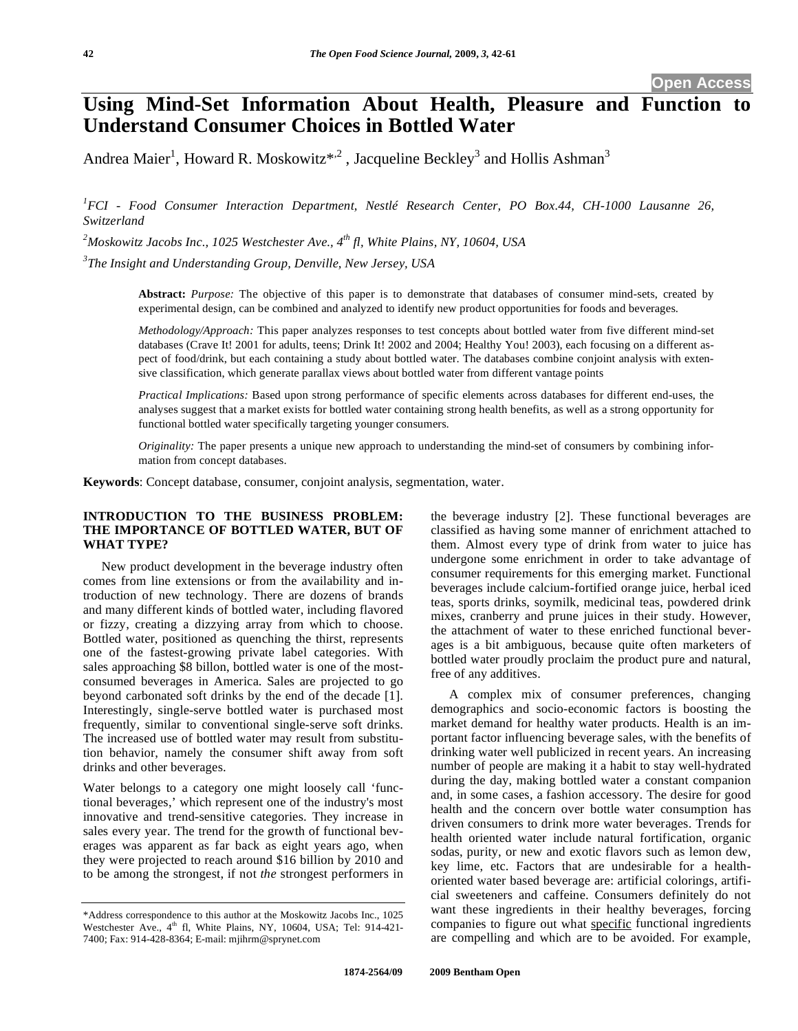# **Using Mind-Set Information About Health, Pleasure and Function to Understand Consumer Choices in Bottled Water**

Andrea Maier<sup>1</sup>, Howard R. Moskowitz\*<sup>2</sup>, Jacqueline Beckley<sup>3</sup> and Hollis Ashman<sup>3</sup>

*1 FCI - Food Consumer Interaction Department, Nestlé Research Center, PO Box.44, CH-1000 Lausanne 26, Switzerland* 

*2 Moskowitz Jacobs Inc., 1025 Westchester Ave., 4th fl, White Plains, NY, 10604, USA* 

*3 The Insight and Understanding Group, Denville, New Jersey, USA* 

**Abstract:** *Purpose:* The objective of this paper is to demonstrate that databases of consumer mind-sets, created by experimental design, can be combined and analyzed to identify new product opportunities for foods and beverages.

*Methodology/Approach:* This paper analyzes responses to test concepts about bottled water from five different mind-set databases (Crave It! 2001 for adults, teens; Drink It! 2002 and 2004; Healthy You! 2003), each focusing on a different aspect of food/drink, but each containing a study about bottled water. The databases combine conjoint analysis with extensive classification, which generate parallax views about bottled water from different vantage points

*Practical Implications:* Based upon strong performance of specific elements across databases for different end-uses, the analyses suggest that a market exists for bottled water containing strong health benefits, as well as a strong opportunity for functional bottled water specifically targeting younger consumers.

*Originality:* The paper presents a unique new approach to understanding the mind-set of consumers by combining information from concept databases.

**Keywords**: Concept database, consumer, conjoint analysis, segmentation, water.

# **INTRODUCTION TO THE BUSINESS PROBLEM: THE IMPORTANCE OF BOTTLED WATER, BUT OF WHAT TYPE?**

New product development in the beverage industry often comes from line extensions or from the availability and introduction of new technology. There are dozens of brands and many different kinds of bottled water, including flavored or fizzy, creating a dizzying array from which to choose. Bottled water, positioned as quenching the thirst, represents one of the fastest-growing private label categories. With sales approaching \$8 billon, bottled water is one of the mostconsumed beverages in America. Sales are projected to go beyond carbonated soft drinks by the end of the decade [1]. Interestingly, single-serve bottled water is purchased most frequently, similar to conventional single-serve soft drinks. The increased use of bottled water may result from substitution behavior, namely the consumer shift away from soft drinks and other beverages.

Water belongs to a category one might loosely call 'functional beverages,' which represent one of the industry's most innovative and trend-sensitive categories. They increase in sales every year. The trend for the growth of functional beverages was apparent as far back as eight years ago, when they were projected to reach around \$16 billion by 2010 and to be among the strongest, if not *the* strongest performers in

the beverage industry [2]. These functional beverages are classified as having some manner of enrichment attached to them. Almost every type of drink from water to juice has undergone some enrichment in order to take advantage of consumer requirements for this emerging market. Functional beverages include calcium-fortified orange juice, herbal iced teas, sports drinks, soymilk, medicinal teas, powdered drink mixes, cranberry and prune juices in their study. However, the attachment of water to these enriched functional beverages is a bit ambiguous, because quite often marketers of bottled water proudly proclaim the product pure and natural, free of any additives.

A complex mix of consumer preferences, changing demographics and socio-economic factors is boosting the market demand for healthy water products. Health is an important factor influencing beverage sales, with the benefits of drinking water well publicized in recent years. An increasing number of people are making it a habit to stay well-hydrated during the day, making bottled water a constant companion and, in some cases, a fashion accessory. The desire for good health and the concern over bottle water consumption has driven consumers to drink more water beverages. Trends for health oriented water include natural fortification, organic sodas, purity, or new and exotic flavors such as lemon dew, key lime, etc. Factors that are undesirable for a healthoriented water based beverage are: artificial colorings, artificial sweeteners and caffeine. Consumers definitely do not want these ingredients in their healthy beverages, forcing companies to figure out what specific functional ingredients are compelling and which are to be avoided. For example,

<sup>\*</sup>Address correspondence to this author at the Moskowitz Jacobs Inc., 1025 Westchester Ave., 4<sup>th</sup> fl, White Plains, NY, 10604, USA; Tel: 914-421-7400; Fax: 914-428-8364; E-mail: mjihrm@sprynet.com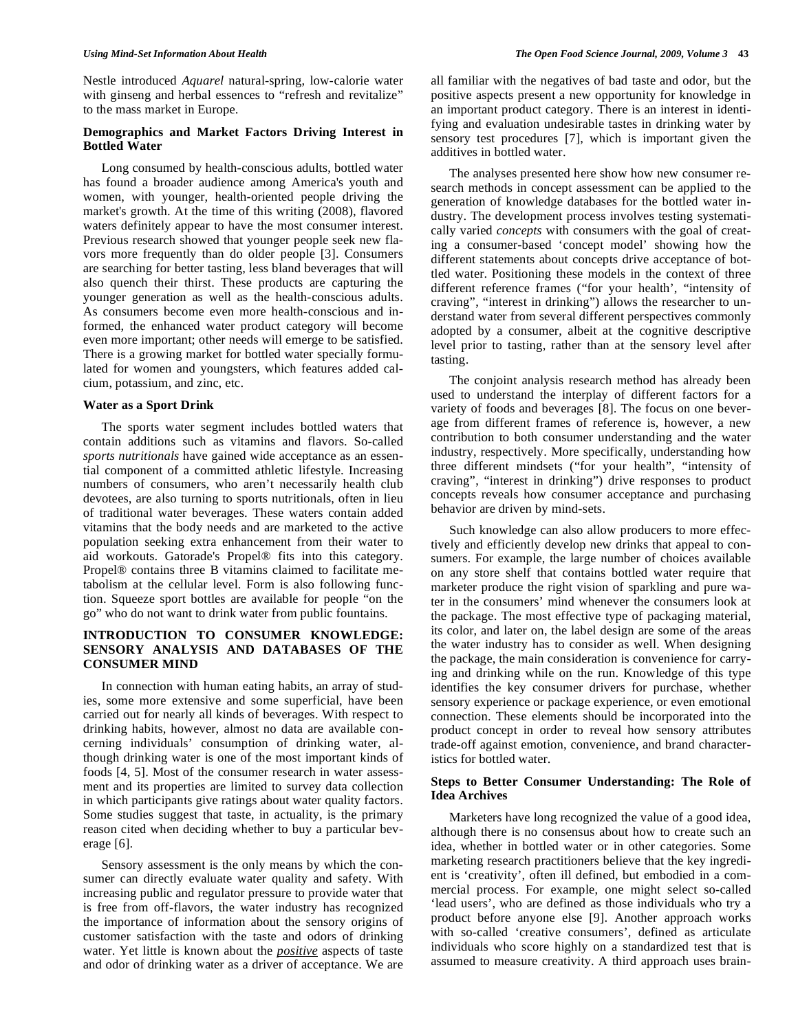Nestle introduced *Aquarel* natural-spring, low-calorie water with ginseng and herbal essences to "refresh and revitalize" to the mass market in Europe.

## **Demographics and Market Factors Driving Interest in Bottled Water**

Long consumed by health-conscious adults, bottled water has found a broader audience among America's youth and women, with younger, health-oriented people driving the market's growth. At the time of this writing (2008), flavored waters definitely appear to have the most consumer interest. Previous research showed that younger people seek new flavors more frequently than do older people [3]. Consumers are searching for better tasting, less bland beverages that will also quench their thirst. These products are capturing the younger generation as well as the health-conscious adults. As consumers become even more health-conscious and informed, the enhanced water product category will become even more important; other needs will emerge to be satisfied. There is a growing market for bottled water specially formulated for women and youngsters, which features added calcium, potassium, and zinc, etc.

## **Water as a Sport Drink**

The sports water segment includes bottled waters that contain additions such as vitamins and flavors. So-called *sports nutritionals* have gained wide acceptance as an essential component of a committed athletic lifestyle. Increasing numbers of consumers, who aren't necessarily health club devotees, are also turning to sports nutritionals, often in lieu of traditional water beverages. These waters contain added vitamins that the body needs and are marketed to the active population seeking extra enhancement from their water to aid workouts. Gatorade's Propel® fits into this category. Propel® contains three B vitamins claimed to facilitate metabolism at the cellular level. Form is also following function. Squeeze sport bottles are available for people "on the go" who do not want to drink water from public fountains.

# **INTRODUCTION TO CONSUMER KNOWLEDGE: SENSORY ANALYSIS AND DATABASES OF THE CONSUMER MIND**

In connection with human eating habits, an array of studies, some more extensive and some superficial, have been carried out for nearly all kinds of beverages. With respect to drinking habits, however, almost no data are available concerning individuals' consumption of drinking water, although drinking water is one of the most important kinds of foods [4, 5]. Most of the consumer research in water assessment and its properties are limited to survey data collection in which participants give ratings about water quality factors. Some studies suggest that taste, in actuality, is the primary reason cited when deciding whether to buy a particular beverage [6].

Sensory assessment is the only means by which the consumer can directly evaluate water quality and safety. With increasing public and regulator pressure to provide water that is free from off-flavors, the water industry has recognized the importance of information about the sensory origins of customer satisfaction with the taste and odors of drinking water. Yet little is known about the *positive* aspects of taste and odor of drinking water as a driver of acceptance. We are

all familiar with the negatives of bad taste and odor, but the positive aspects present a new opportunity for knowledge in an important product category. There is an interest in identifying and evaluation undesirable tastes in drinking water by sensory test procedures [7], which is important given the additives in bottled water.

The analyses presented here show how new consumer research methods in concept assessment can be applied to the generation of knowledge databases for the bottled water industry. The development process involves testing systematically varied *concepts* with consumers with the goal of creating a consumer-based 'concept model' showing how the different statements about concepts drive acceptance of bottled water. Positioning these models in the context of three different reference frames ("for your health', "intensity of craving", "interest in drinking") allows the researcher to understand water from several different perspectives commonly adopted by a consumer, albeit at the cognitive descriptive level prior to tasting, rather than at the sensory level after tasting.

The conjoint analysis research method has already been used to understand the interplay of different factors for a variety of foods and beverages [8]. The focus on one beverage from different frames of reference is, however, a new contribution to both consumer understanding and the water industry, respectively. More specifically, understanding how three different mindsets ("for your health", "intensity of craving", "interest in drinking") drive responses to product concepts reveals how consumer acceptance and purchasing behavior are driven by mind-sets.

Such knowledge can also allow producers to more effectively and efficiently develop new drinks that appeal to consumers. For example, the large number of choices available on any store shelf that contains bottled water require that marketer produce the right vision of sparkling and pure water in the consumers' mind whenever the consumers look at the package. The most effective type of packaging material, its color, and later on, the label design are some of the areas the water industry has to consider as well. When designing the package, the main consideration is convenience for carrying and drinking while on the run. Knowledge of this type identifies the key consumer drivers for purchase, whether sensory experience or package experience, or even emotional connection. These elements should be incorporated into the product concept in order to reveal how sensory attributes trade-off against emotion, convenience, and brand characteristics for bottled water.

# **Steps to Better Consumer Understanding: The Role of Idea Archives**

Marketers have long recognized the value of a good idea, although there is no consensus about how to create such an idea, whether in bottled water or in other categories. Some marketing research practitioners believe that the key ingredient is 'creativity', often ill defined, but embodied in a commercial process. For example, one might select so-called 'lead users', who are defined as those individuals who try a product before anyone else [9]. Another approach works with so-called 'creative consumers', defined as articulate individuals who score highly on a standardized test that is assumed to measure creativity. A third approach uses brain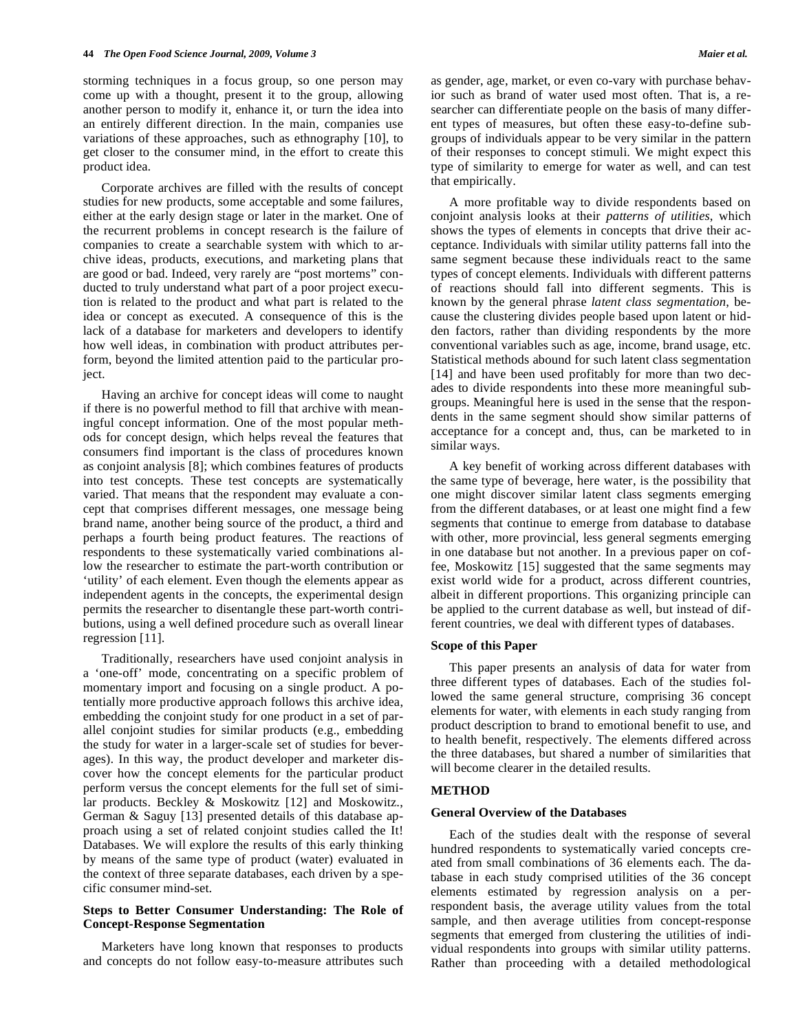storming techniques in a focus group, so one person may come up with a thought, present it to the group, allowing another person to modify it, enhance it, or turn the idea into an entirely different direction. In the main, companies use variations of these approaches, such as ethnography [10], to get closer to the consumer mind, in the effort to create this product idea.

Corporate archives are filled with the results of concept studies for new products, some acceptable and some failures, either at the early design stage or later in the market. One of the recurrent problems in concept research is the failure of companies to create a searchable system with which to archive ideas, products, executions, and marketing plans that are good or bad. Indeed, very rarely are "post mortems" conducted to truly understand what part of a poor project execution is related to the product and what part is related to the idea or concept as executed. A consequence of this is the lack of a database for marketers and developers to identify how well ideas, in combination with product attributes perform, beyond the limited attention paid to the particular project.

Having an archive for concept ideas will come to naught if there is no powerful method to fill that archive with meaningful concept information. One of the most popular methods for concept design, which helps reveal the features that consumers find important is the class of procedures known as conjoint analysis [8]; which combines features of products into test concepts. These test concepts are systematically varied. That means that the respondent may evaluate a concept that comprises different messages, one message being brand name, another being source of the product, a third and perhaps a fourth being product features. The reactions of respondents to these systematically varied combinations allow the researcher to estimate the part-worth contribution or 'utility' of each element. Even though the elements appear as independent agents in the concepts, the experimental design permits the researcher to disentangle these part-worth contributions, using a well defined procedure such as overall linear regression [11].

Traditionally, researchers have used conjoint analysis in a 'one-off' mode, concentrating on a specific problem of momentary import and focusing on a single product. A potentially more productive approach follows this archive idea, embedding the conjoint study for one product in a set of parallel conjoint studies for similar products (e.g., embedding the study for water in a larger-scale set of studies for beverages). In this way, the product developer and marketer discover how the concept elements for the particular product perform versus the concept elements for the full set of similar products. Beckley & Moskowitz [12] and Moskowitz., German & Saguy [13] presented details of this database approach using a set of related conjoint studies called the It! Databases. We will explore the results of this early thinking by means of the same type of product (water) evaluated in the context of three separate databases, each driven by a specific consumer mind-set.

# **Steps to Better Consumer Understanding: The Role of Concept-Response Segmentation**

Marketers have long known that responses to products and concepts do not follow easy-to-measure attributes such as gender, age, market, or even co-vary with purchase behavior such as brand of water used most often. That is, a researcher can differentiate people on the basis of many different types of measures, but often these easy-to-define subgroups of individuals appear to be very similar in the pattern of their responses to concept stimuli. We might expect this type of similarity to emerge for water as well, and can test that empirically.

A more profitable way to divide respondents based on conjoint analysis looks at their *patterns of utilities*, which shows the types of elements in concepts that drive their acceptance. Individuals with similar utility patterns fall into the same segment because these individuals react to the same types of concept elements. Individuals with different patterns of reactions should fall into different segments. This is known by the general phrase *latent class segmentation*, because the clustering divides people based upon latent or hidden factors, rather than dividing respondents by the more conventional variables such as age, income, brand usage, etc. Statistical methods abound for such latent class segmentation [14] and have been used profitably for more than two decades to divide respondents into these more meaningful subgroups. Meaningful here is used in the sense that the respondents in the same segment should show similar patterns of acceptance for a concept and, thus, can be marketed to in similar ways.

A key benefit of working across different databases with the same type of beverage, here water, is the possibility that one might discover similar latent class segments emerging from the different databases, or at least one might find a few segments that continue to emerge from database to database with other, more provincial, less general segments emerging in one database but not another. In a previous paper on coffee, Moskowitz [15] suggested that the same segments may exist world wide for a product, across different countries, albeit in different proportions. This organizing principle can be applied to the current database as well, but instead of different countries, we deal with different types of databases.

## **Scope of this Paper**

This paper presents an analysis of data for water from three different types of databases. Each of the studies followed the same general structure, comprising 36 concept elements for water, with elements in each study ranging from product description to brand to emotional benefit to use, and to health benefit, respectively. The elements differed across the three databases, but shared a number of similarities that will become clearer in the detailed results.

## **METHOD**

#### **General Overview of the Databases**

Each of the studies dealt with the response of several hundred respondents to systematically varied concepts created from small combinations of 36 elements each. The database in each study comprised utilities of the 36 concept elements estimated by regression analysis on a perrespondent basis, the average utility values from the total sample, and then average utilities from concept-response segments that emerged from clustering the utilities of individual respondents into groups with similar utility patterns. Rather than proceeding with a detailed methodological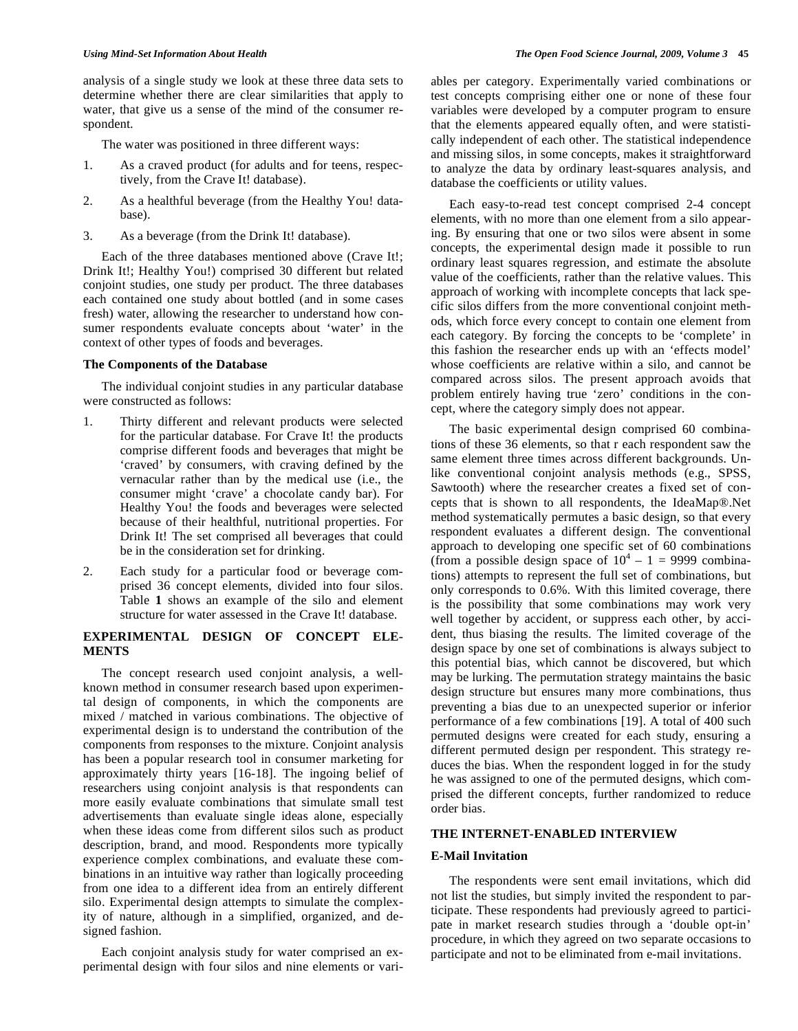analysis of a single study we look at these three data sets to determine whether there are clear similarities that apply to water, that give us a sense of the mind of the consumer respondent.

The water was positioned in three different ways:

- 1. As a craved product (for adults and for teens, respectively, from the Crave It! database).
- 2. As a healthful beverage (from the Healthy You! database).
- 3. As a beverage (from the Drink It! database).

Each of the three databases mentioned above (Crave It!; Drink It!; Healthy You!) comprised 30 different but related conjoint studies, one study per product. The three databases each contained one study about bottled (and in some cases fresh) water, allowing the researcher to understand how consumer respondents evaluate concepts about 'water' in the context of other types of foods and beverages.

# **The Components of the Database**

The individual conjoint studies in any particular database were constructed as follows:

- 1. Thirty different and relevant products were selected for the particular database. For Crave It! the products comprise different foods and beverages that might be 'craved' by consumers, with craving defined by the vernacular rather than by the medical use (i.e., the consumer might 'crave' a chocolate candy bar). For Healthy You! the foods and beverages were selected because of their healthful, nutritional properties. For Drink It! The set comprised all beverages that could be in the consideration set for drinking.
- 2. Each study for a particular food or beverage comprised 36 concept elements, divided into four silos. Table **1** shows an example of the silo and element structure for water assessed in the Crave It! database.

# **EXPERIMENTAL DESIGN OF CONCEPT ELE-MENTS**

The concept research used conjoint analysis, a wellknown method in consumer research based upon experimental design of components, in which the components are mixed / matched in various combinations. The objective of experimental design is to understand the contribution of the components from responses to the mixture. Conjoint analysis has been a popular research tool in consumer marketing for approximately thirty years [16-18]. The ingoing belief of researchers using conjoint analysis is that respondents can more easily evaluate combinations that simulate small test advertisements than evaluate single ideas alone, especially when these ideas come from different silos such as product description, brand, and mood. Respondents more typically experience complex combinations, and evaluate these combinations in an intuitive way rather than logically proceeding from one idea to a different idea from an entirely different silo. Experimental design attempts to simulate the complexity of nature, although in a simplified, organized, and designed fashion.

Each conjoint analysis study for water comprised an experimental design with four silos and nine elements or variables per category. Experimentally varied combinations or test concepts comprising either one or none of these four variables were developed by a computer program to ensure that the elements appeared equally often, and were statistically independent of each other. The statistical independence and missing silos, in some concepts, makes it straightforward to analyze the data by ordinary least-squares analysis, and database the coefficients or utility values.

Each easy-to-read test concept comprised 2-4 concept elements, with no more than one element from a silo appearing. By ensuring that one or two silos were absent in some concepts, the experimental design made it possible to run ordinary least squares regression, and estimate the absolute value of the coefficients, rather than the relative values. This approach of working with incomplete concepts that lack specific silos differs from the more conventional conjoint methods, which force every concept to contain one element from each category. By forcing the concepts to be 'complete' in this fashion the researcher ends up with an 'effects model' whose coefficients are relative within a silo, and cannot be compared across silos. The present approach avoids that problem entirely having true 'zero' conditions in the concept, where the category simply does not appear.

The basic experimental design comprised 60 combinations of these 36 elements, so that r each respondent saw the same element three times across different backgrounds. Unlike conventional conjoint analysis methods (e.g., SPSS, Sawtooth) where the researcher creates a fixed set of concepts that is shown to all respondents, the IdeaMap®.Net method systematically permutes a basic design, so that every respondent evaluates a different design. The conventional approach to developing one specific set of 60 combinations (from a possible design space of  $10^4 - 1 = 9999$  combinations) attempts to represent the full set of combinations, but only corresponds to 0.6%. With this limited coverage, there is the possibility that some combinations may work very well together by accident, or suppress each other, by accident, thus biasing the results. The limited coverage of the design space by one set of combinations is always subject to this potential bias, which cannot be discovered, but which may be lurking. The permutation strategy maintains the basic design structure but ensures many more combinations, thus preventing a bias due to an unexpected superior or inferior performance of a few combinations [19]. A total of 400 such permuted designs were created for each study, ensuring a different permuted design per respondent. This strategy reduces the bias. When the respondent logged in for the study he was assigned to one of the permuted designs, which comprised the different concepts, further randomized to reduce order bias.

# **THE INTERNET-ENABLED INTERVIEW**

# **E-Mail Invitation**

The respondents were sent email invitations, which did not list the studies, but simply invited the respondent to participate. These respondents had previously agreed to participate in market research studies through a 'double opt-in' procedure, in which they agreed on two separate occasions to participate and not to be eliminated from e-mail invitations.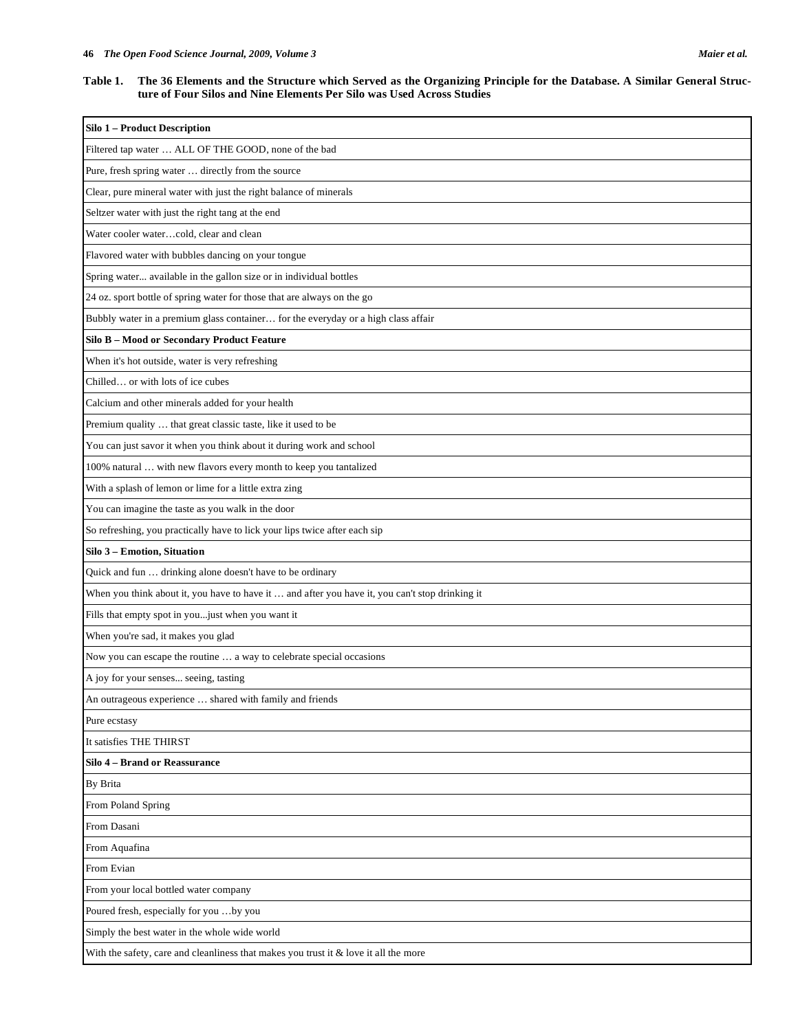# **Table 1. The 36 Elements and the Structure which Served as the Organizing Principle for the Database. A Similar General Structure of Four Silos and Nine Elements Per Silo was Used Across Studies**

| Silo 1 - Product Description                                                                    |
|-------------------------------------------------------------------------------------------------|
| Filtered tap water  ALL OF THE GOOD, none of the bad                                            |
| Pure, fresh spring water  directly from the source                                              |
| Clear, pure mineral water with just the right balance of minerals                               |
| Seltzer water with just the right tang at the end                                               |
| Water cooler watercold, clear and clean                                                         |
| Flavored water with bubbles dancing on your tongue                                              |
| Spring water available in the gallon size or in individual bottles                              |
| 24 oz. sport bottle of spring water for those that are always on the go                         |
| Bubbly water in a premium glass container for the everyday or a high class affair               |
| Silo B - Mood or Secondary Product Feature                                                      |
| When it's hot outside, water is very refreshing                                                 |
| Chilled or with lots of ice cubes                                                               |
| Calcium and other minerals added for your health                                                |
| Premium quality  that great classic taste, like it used to be                                   |
| You can just savor it when you think about it during work and school                            |
| 100% natural  with new flavors every month to keep you tantalized                               |
| With a splash of lemon or lime for a little extra zing                                          |
| You can imagine the taste as you walk in the door                                               |
| So refreshing, you practically have to lick your lips twice after each sip                      |
| Silo 3 - Emotion, Situation                                                                     |
| Quick and fun  drinking alone doesn't have to be ordinary                                       |
| When you think about it, you have to have it  and after you have it, you can't stop drinking it |
| Fills that empty spot in youjust when you want it                                               |
| When you're sad, it makes you glad                                                              |
| Now you can escape the routine  a way to celebrate special occasions                            |
| A joy for your senses seeing, tasting                                                           |
| An outrageous experience  shared with family and friends                                        |
| Pure ecstasy                                                                                    |
| It satisfies THE THIRST                                                                         |
| Silo 4 - Brand or Reassurance                                                                   |
| By Brita                                                                                        |
| From Poland Spring                                                                              |
| From Dasani                                                                                     |
| From Aquafina                                                                                   |
| From Evian                                                                                      |
| From your local bottled water company                                                           |
| Poured fresh, especially for you by you                                                         |
| Simply the best water in the whole wide world                                                   |
| With the safety, care and cleanliness that makes you trust it $\&$ love it all the more         |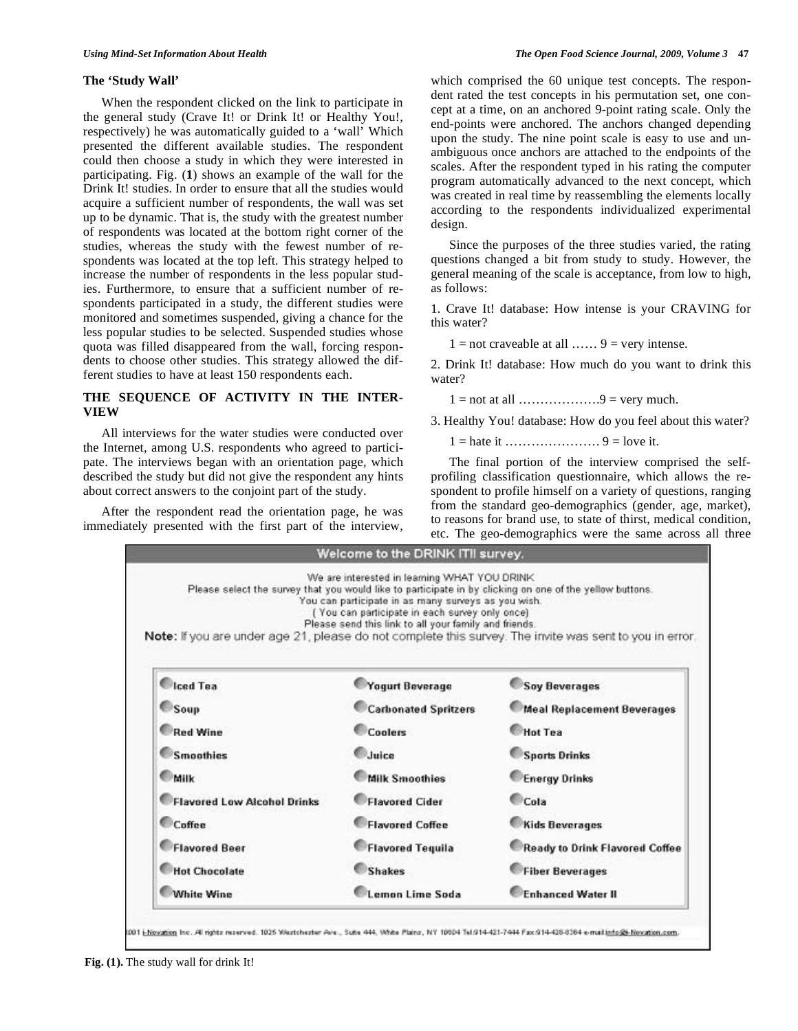# **The 'Study Wall'**

When the respondent clicked on the link to participate in the general study (Crave It! or Drink It! or Healthy You!, respectively) he was automatically guided to a 'wall' Which presented the different available studies. The respondent could then choose a study in which they were interested in participating. Fig. (**1**) shows an example of the wall for the Drink It! studies. In order to ensure that all the studies would acquire a sufficient number of respondents, the wall was set up to be dynamic. That is, the study with the greatest number of respondents was located at the bottom right corner of the studies, whereas the study with the fewest number of respondents was located at the top left. This strategy helped to increase the number of respondents in the less popular studies. Furthermore, to ensure that a sufficient number of respondents participated in a study, the different studies were monitored and sometimes suspended, giving a chance for the less popular studies to be selected. Suspended studies whose quota was filled disappeared from the wall, forcing respondents to choose other studies. This strategy allowed the different studies to have at least 150 respondents each.

# **THE SEQUENCE OF ACTIVITY IN THE INTER-VIEW**

All interviews for the water studies were conducted over the Internet, among U.S. respondents who agreed to participate. The interviews began with an orientation page, which described the study but did not give the respondent any hints about correct answers to the conjoint part of the study.

After the respondent read the orientation page, he was immediately presented with the first part of the interview,

which comprised the 60 unique test concepts. The respondent rated the test concepts in his permutation set, one concept at a time, on an anchored 9-point rating scale. Only the end-points were anchored. The anchors changed depending upon the study. The nine point scale is easy to use and unambiguous once anchors are attached to the endpoints of the scales. After the respondent typed in his rating the computer program automatically advanced to the next concept, which was created in real time by reassembling the elements locally according to the respondents individualized experimental design.

Since the purposes of the three studies varied, the rating questions changed a bit from study to study. However, the general meaning of the scale is acceptance, from low to high, as follows:

1. Crave It! database: How intense is your CRAVING for this water?

 $1 = not craveable at all ...... $9 = very intense.$$ 

2. Drink It! database: How much do you want to drink this water?

 $1 = not at all$  ……………………9 = very much.

3. Healthy You! database: How do you feel about this water?

1 = hate it …………………. 9 = love it.

The final portion of the interview comprised the selfprofiling classification questionnaire, which allows the respondent to profile himself on a variety of questions, ranging from the standard geo-demographics (gender, age, market), to reasons for brand use, to state of thirst, medical condition, etc. The geo-demographics were the same across all three



001 ENovation Inc. All rights reserved. 1025 Westchester Ave., Suite 444, White Plains, NY 10804 Tel:014-421-7444 Fax:014-428-8384 e-mail info@i-Novation.com.

**Fig. (1).** The study wall for drink It!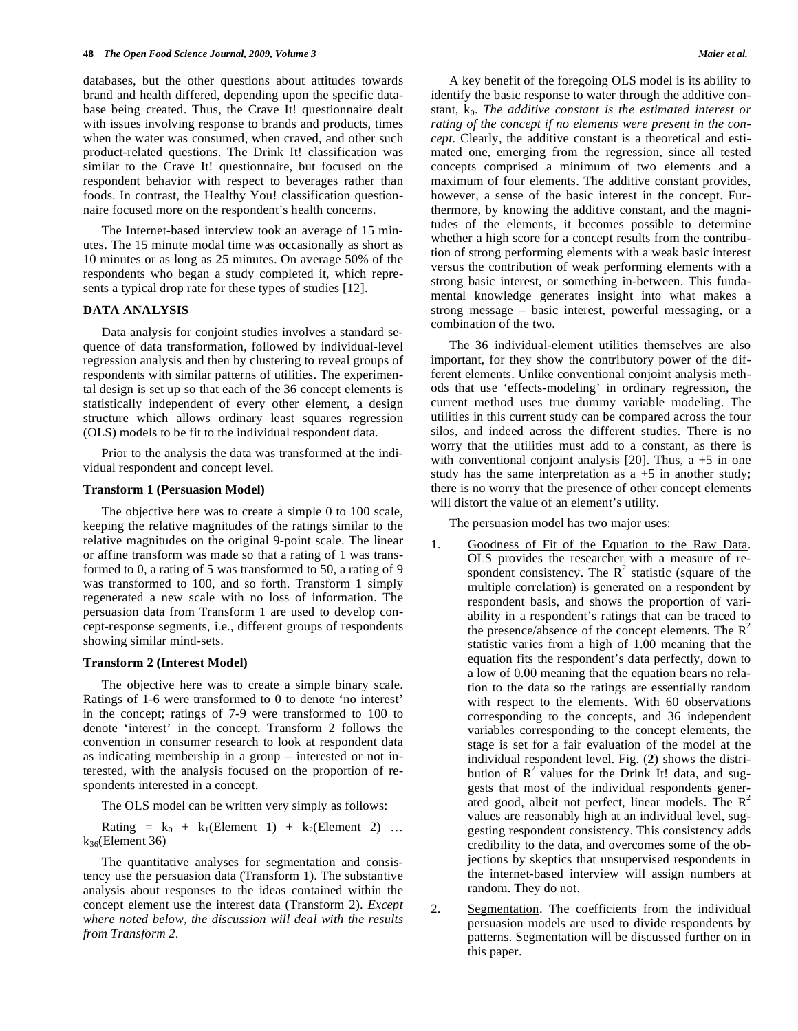databases, but the other questions about attitudes towards brand and health differed, depending upon the specific database being created. Thus, the Crave It! questionnaire dealt with issues involving response to brands and products, times when the water was consumed, when craved, and other such product-related questions. The Drink It! classification was similar to the Crave It! questionnaire, but focused on the respondent behavior with respect to beverages rather than foods. In contrast, the Healthy You! classification questionnaire focused more on the respondent's health concerns.

The Internet-based interview took an average of 15 minutes. The 15 minute modal time was occasionally as short as 10 minutes or as long as 25 minutes. On average 50% of the respondents who began a study completed it, which represents a typical drop rate for these types of studies [12].

#### **DATA ANALYSIS**

Data analysis for conjoint studies involves a standard sequence of data transformation, followed by individual-level regression analysis and then by clustering to reveal groups of respondents with similar patterns of utilities. The experimental design is set up so that each of the 36 concept elements is statistically independent of every other element, a design structure which allows ordinary least squares regression (OLS) models to be fit to the individual respondent data.

Prior to the analysis the data was transformed at the individual respondent and concept level.

#### **Transform 1 (Persuasion Model)**

The objective here was to create a simple 0 to 100 scale, keeping the relative magnitudes of the ratings similar to the relative magnitudes on the original 9-point scale. The linear or affine transform was made so that a rating of 1 was transformed to 0, a rating of 5 was transformed to 50, a rating of 9 was transformed to 100, and so forth. Transform 1 simply regenerated a new scale with no loss of information. The persuasion data from Transform 1 are used to develop concept-response segments, i.e., different groups of respondents showing similar mind-sets.

#### **Transform 2 (Interest Model)**

The objective here was to create a simple binary scale. Ratings of 1-6 were transformed to 0 to denote 'no interest' in the concept; ratings of 7-9 were transformed to 100 to denote 'interest' in the concept. Transform 2 follows the convention in consumer research to look at respondent data as indicating membership in a group – interested or not interested, with the analysis focused on the proportion of respondents interested in a concept.

The OLS model can be written very simply as follows:

Rating =  $k_0$  +  $k_1$ (Element 1) +  $k_2$ (Element 2) ...  $k_{36}$ (Element 36)

The quantitative analyses for segmentation and consistency use the persuasion data (Transform 1). The substantive analysis about responses to the ideas contained within the concept element use the interest data (Transform 2). *Except where noted below, the discussion will deal with the results from Transform 2.* 

A key benefit of the foregoing OLS model is its ability to identify the basic response to water through the additive constant, k<sub>0</sub>. *The additive constant is the estimated interest or rating of the concept if no elements were present in the concept*. Clearly, the additive constant is a theoretical and estimated one, emerging from the regression, since all tested concepts comprised a minimum of two elements and a maximum of four elements. The additive constant provides, however, a sense of the basic interest in the concept. Furthermore, by knowing the additive constant, and the magnitudes of the elements, it becomes possible to determine whether a high score for a concept results from the contribution of strong performing elements with a weak basic interest versus the contribution of weak performing elements with a strong basic interest, or something in-between. This fundamental knowledge generates insight into what makes a strong message – basic interest, powerful messaging, or a combination of the two.

The 36 individual-element utilities themselves are also important, for they show the contributory power of the different elements. Unlike conventional conjoint analysis methods that use 'effects-modeling' in ordinary regression, the current method uses true dummy variable modeling. The utilities in this current study can be compared across the four silos, and indeed across the different studies. There is no worry that the utilities must add to a constant, as there is with conventional conjoint analysis [20]. Thus,  $a + 5$  in one study has the same interpretation as  $a + 5$  in another study; there is no worry that the presence of other concept elements will distort the value of an element's utility.

The persuasion model has two major uses:

- 1. Goodness of Fit of the Equation to the Raw Data. OLS provides the researcher with a measure of respondent consistency. The  $\mathbb{R}^2$  statistic (square of the multiple correlation) is generated on a respondent by respondent basis, and shows the proportion of variability in a respondent's ratings that can be traced to the presence/absence of the concept elements. The  $R^2$ statistic varies from a high of 1.00 meaning that the equation fits the respondent's data perfectly, down to a low of 0.00 meaning that the equation bears no relation to the data so the ratings are essentially random with respect to the elements. With 60 observations corresponding to the concepts, and 36 independent variables corresponding to the concept elements, the stage is set for a fair evaluation of the model at the individual respondent level. Fig. (**2**) shows the distribution of  $\mathbb{R}^2$  values for the Drink It! data, and suggests that most of the individual respondents generated good, albeit not perfect, linear models. The  $R^2$ values are reasonably high at an individual level, suggesting respondent consistency. This consistency adds credibility to the data, and overcomes some of the objections by skeptics that unsupervised respondents in the internet-based interview will assign numbers at random. They do not.
- 2. Segmentation. The coefficients from the individual persuasion models are used to divide respondents by patterns. Segmentation will be discussed further on in this paper.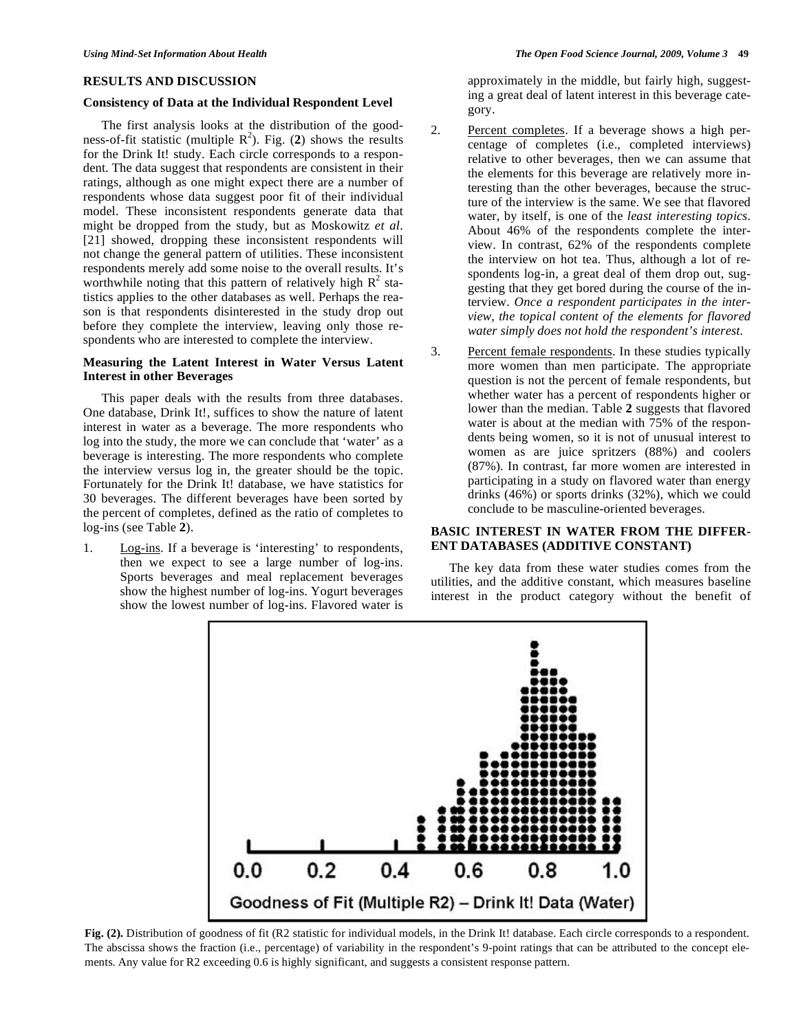#### **RESULTS AND DISCUSSION**

#### **Consistency of Data at the Individual Respondent Level**

The first analysis looks at the distribution of the goodness-of-fit statistic (multiple  $\mathbb{R}^2$ ). Fig. (2) shows the results for the Drink It! study. Each circle corresponds to a respondent. The data suggest that respondents are consistent in their ratings, although as one might expect there are a number of respondents whose data suggest poor fit of their individual model. These inconsistent respondents generate data that might be dropped from the study, but as Moskowitz *et al*. [21] showed, dropping these inconsistent respondents will not change the general pattern of utilities. These inconsistent respondents merely add some noise to the overall results. It's worthwhile noting that this pattern of relatively high  $R^2$  statistics applies to the other databases as well. Perhaps the reason is that respondents disinterested in the study drop out before they complete the interview, leaving only those respondents who are interested to complete the interview.

# **Measuring the Latent Interest in Water Versus Latent Interest in other Beverages**

This paper deals with the results from three databases. One database, Drink It!, suffices to show the nature of latent interest in water as a beverage. The more respondents who log into the study, the more we can conclude that 'water' as a beverage is interesting. The more respondents who complete the interview versus log in, the greater should be the topic. Fortunately for the Drink It! database, we have statistics for 30 beverages. The different beverages have been sorted by the percent of completes, defined as the ratio of completes to log-ins (see Table **2**).

1. Log-ins. If a beverage is 'interesting' to respondents, then we expect to see a large number of log-ins. Sports beverages and meal replacement beverages show the highest number of log-ins. Yogurt beverages show the lowest number of log-ins. Flavored water is

approximately in the middle, but fairly high, suggesting a great deal of latent interest in this beverage category.

- 2. Percent completes. If a beverage shows a high percentage of completes (i.e., completed interviews) relative to other beverages, then we can assume that the elements for this beverage are relatively more interesting than the other beverages, because the structure of the interview is the same. We see that flavored water, by itself, is one of the *least interesting topics.* About 46% of the respondents complete the interview. In contrast, 62% of the respondents complete the interview on hot tea. Thus, although a lot of respondents log-in, a great deal of them drop out, suggesting that they get bored during the course of the interview. *Once a respondent participates in the interview, the topical content of the elements for flavored water simply does not hold the respondent's interest.*
- 3. Percent female respondents. In these studies typically more women than men participate. The appropriate question is not the percent of female respondents, but whether water has a percent of respondents higher or lower than the median. Table **2** suggests that flavored water is about at the median with 75% of the respondents being women, so it is not of unusual interest to women as are juice spritzers (88%) and coolers (87%). In contrast, far more women are interested in participating in a study on flavored water than energy drinks (46%) or sports drinks (32%), which we could conclude to be masculine-oriented beverages.

## **BASIC INTEREST IN WATER FROM THE DIFFER-ENT DATABASES (ADDITIVE CONSTANT)**

The key data from these water studies comes from the utilities, and the additive constant, which measures baseline interest in the product category without the benefit of



Fig. (2). Distribution of goodness of fit (R2 statistic for individual models, in the Drink It! database. Each circle corresponds to a respondent. The abscissa shows the fraction (i.e., percentage) of variability in the respondent's 9-point ratings that can be attributed to the concept elements. Any value for R2 exceeding 0.6 is highly significant, and suggests a consistent response pattern.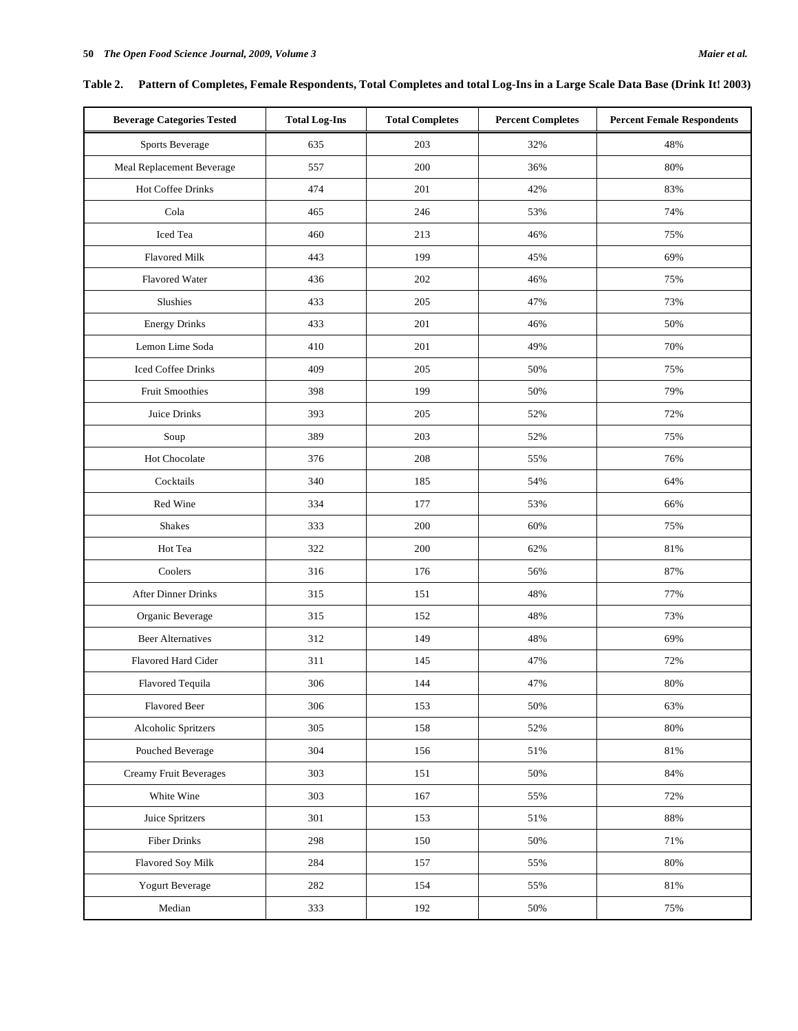| <b>Beverage Categories Tested</b> | <b>Total Log-Ins</b> | <b>Total Completes</b> | <b>Percent Completes</b> | <b>Percent Female Respondents</b> |
|-----------------------------------|----------------------|------------------------|--------------------------|-----------------------------------|
| Sports Beverage                   | 635                  | 203                    | 32%                      | 48%                               |
| Meal Replacement Beverage         | 557                  | 200                    | 36%                      | 80%                               |
| <b>Hot Coffee Drinks</b>          | 474                  | 201                    | 42%                      | 83%                               |
| Cola                              | 465                  | 246                    | 53%                      | 74%                               |
| Iced Tea                          | 460                  | 213                    | 46%                      | 75%                               |
| <b>Flavored Milk</b>              | 443                  | 199                    | 45%                      | 69%                               |
| Flavored Water                    | 436                  | 202                    | 46%                      | 75%                               |
| Slushies                          | 433                  | 205                    | 47%                      | 73%                               |
| <b>Energy Drinks</b>              | 433                  | 201                    | 46%                      | 50%                               |
| Lemon Lime Soda                   | 410                  | 201                    | 49%                      | 70%                               |
| <b>Iced Coffee Drinks</b>         | 409                  | 205                    | 50%                      | 75%                               |
| <b>Fruit Smoothies</b>            | 398                  | 199                    | 50%                      | 79%                               |
| Juice Drinks                      | 393                  | 205                    | 52%                      | 72%                               |
| Soup                              | 389                  | 203                    | 52%                      | 75%                               |
| Hot Chocolate                     | 376                  | 208                    | 55%                      | 76%                               |
| Cocktails                         | 340                  | 185                    | 54%                      | 64%                               |
| Red Wine                          | 334                  | 177                    | 53%                      | 66%                               |
| <b>Shakes</b>                     | 333                  | 200                    | 60%                      | 75%                               |
| Hot Tea                           | 322                  | 200                    | 62%                      | 81%                               |
| Coolers                           | 316                  | 176                    | 56%                      | 87%                               |
| After Dinner Drinks               | 315                  | 151                    | 48%                      | 77%                               |
| Organic Beverage                  | 315                  | 152                    | 48%                      | 73%                               |
| <b>Beer Alternatives</b>          | 312                  | 149                    | 48%                      | 69%                               |
| Flavored Hard Cider               | 311                  | 145                    | 47%                      | 72%                               |
| Flavored Tequila                  | 306                  | 144                    | 47%                      | 80%                               |
| Flavored Beer                     | 306                  | 153                    | 50%                      | 63%                               |
| Alcoholic Spritzers               | 305                  | 158                    | 52%                      | $80\%$                            |
| Pouched Beverage                  | 304                  | 156                    | 51%                      | 81%                               |
| Creamy Fruit Beverages            | 303                  | 151                    | 50%                      | 84%                               |
| White Wine                        | 303                  | 167                    | 55%                      | 72%                               |
| Juice Spritzers                   | 301                  | 153                    | 51%                      | 88%                               |
| <b>Fiber Drinks</b>               | 298                  | 150                    | 50%                      | 71%                               |
| Flavored Soy Milk                 | 284                  | 157                    | 55%                      | $80\%$                            |
| Yogurt Beverage                   | 282                  | 154                    | 55%                      | 81%                               |
| Median                            | 333                  | 192                    | 50%                      | 75%                               |

**Table 2. Pattern of Completes, Female Respondents, Total Completes and total Log-Ins in a Large Scale Data Base (Drink It! 2003)**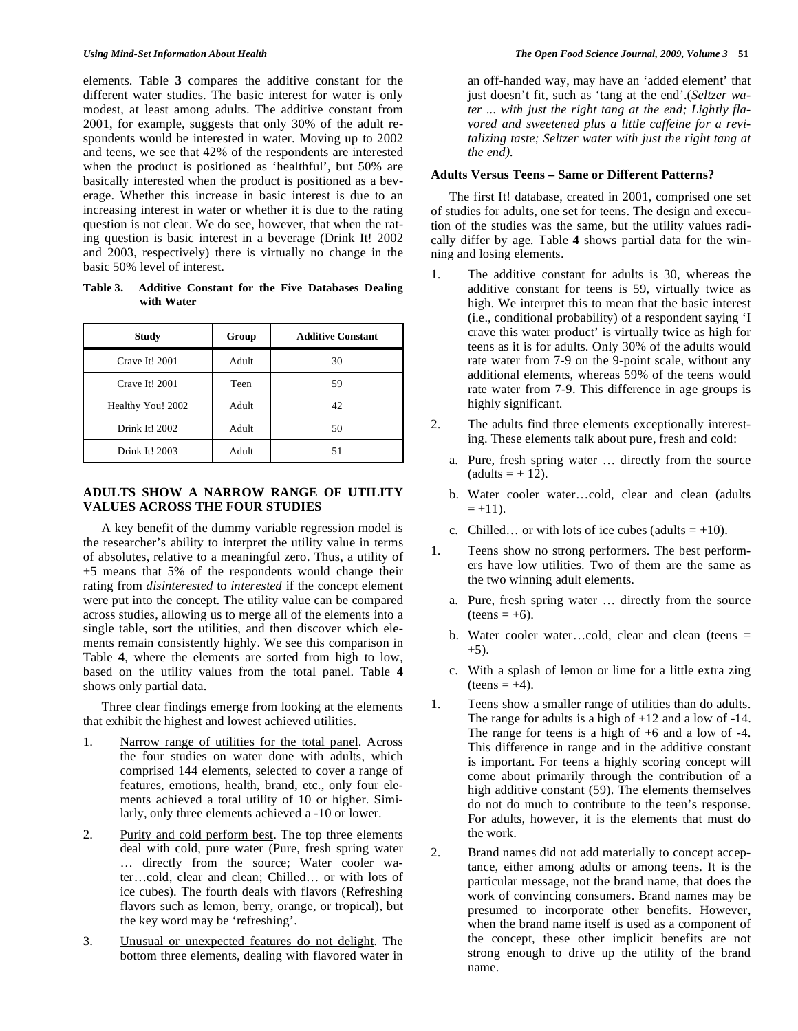elements. Table **3** compares the additive constant for the different water studies. The basic interest for water is only modest, at least among adults. The additive constant from 2001, for example, suggests that only 30% of the adult respondents would be interested in water. Moving up to 2002 and teens, we see that 42% of the respondents are interested when the product is positioned as 'healthful', but 50% are basically interested when the product is positioned as a beverage. Whether this increase in basic interest is due to an increasing interest in water or whether it is due to the rating question is not clear. We do see, however, that when the rating question is basic interest in a beverage (Drink It! 2002 and 2003, respectively) there is virtually no change in the basic 50% level of interest.

**Table 3. Additive Constant for the Five Databases Dealing with Water** 

| Study             | Group | <b>Additive Constant</b> |
|-------------------|-------|--------------------------|
| Crave It! 2001    | Adult | 30                       |
| Crave It! 2001    | Teen  | 59                       |
| Healthy You! 2002 | Adult | 42                       |
| Drink It! 2002    | Adult | 50                       |
| Drink It! 2003    | Adult | 51                       |

# **ADULTS SHOW A NARROW RANGE OF UTILITY VALUES ACROSS THE FOUR STUDIES**

A key benefit of the dummy variable regression model is the researcher's ability to interpret the utility value in terms of absolutes, relative to a meaningful zero. Thus, a utility of +5 means that 5% of the respondents would change their rating from *disinterested* to *interested* if the concept element were put into the concept. The utility value can be compared across studies, allowing us to merge all of the elements into a single table, sort the utilities, and then discover which elements remain consistently highly. We see this comparison in Table **4**, where the elements are sorted from high to low, based on the utility values from the total panel. Table **4** shows only partial data.

Three clear findings emerge from looking at the elements that exhibit the highest and lowest achieved utilities.

- 1. Narrow range of utilities for the total panel. Across the four studies on water done with adults, which comprised 144 elements, selected to cover a range of features, emotions, health, brand, etc., only four elements achieved a total utility of 10 or higher. Similarly, only three elements achieved a -10 or lower.
- 2. Purity and cold perform best. The top three elements deal with cold, pure water (Pure, fresh spring water … directly from the source; Water cooler water…cold, clear and clean; Chilled… or with lots of ice cubes). The fourth deals with flavors (Refreshing flavors such as lemon, berry, orange, or tropical), but the key word may be 'refreshing'.
- 3. Unusual or unexpected features do not delight. The bottom three elements, dealing with flavored water in

an off-handed way, may have an 'added element' that just doesn't fit, such as 'tang at the end'.(*Seltzer water ... with just the right tang at the end; Lightly flavored and sweetened plus a little caffeine for a revitalizing taste; Seltzer water with just the right tang at the end).* 

## **Adults Versus Teens – Same or Different Patterns?**

The first It! database, created in 2001, comprised one set of studies for adults, one set for teens. The design and execution of the studies was the same, but the utility values radically differ by age. Table **4** shows partial data for the winning and losing elements.

- 1. The additive constant for adults is 30, whereas the additive constant for teens is 59, virtually twice as high. We interpret this to mean that the basic interest (i.e., conditional probability) of a respondent saying 'I crave this water product' is virtually twice as high for teens as it is for adults. Only 30% of the adults would rate water from 7-9 on the 9-point scale, without any additional elements, whereas 59% of the teens would rate water from 7-9. This difference in age groups is highly significant.
- 2. The adults find three elements exceptionally interesting. These elements talk about pure, fresh and cold:
	- a. Pure, fresh spring water … directly from the source  $adults = +12$ ).
	- b. Water cooler water…cold, clear and clean (adults  $= +11$ ).
	- c. Chilled... or with lots of ice cubes (adults  $= +10$ ).
- 1. Teens show no strong performers. The best performers have low utilities. Two of them are the same as the two winning adult elements.
	- a. Pure, fresh spring water … directly from the source  $(teens = +6)$ .
	- b. Water cooler water…cold, clear and clean (teens =  $+5$ ).
	- c. With a splash of lemon or lime for a little extra zing  $(\text{teens} = +4)$ .
- 1. Teens show a smaller range of utilities than do adults. The range for adults is a high of  $+12$  and a low of  $-14$ . The range for teens is a high of +6 and a low of -4. This difference in range and in the additive constant is important. For teens a highly scoring concept will come about primarily through the contribution of a high additive constant (59). The elements themselves do not do much to contribute to the teen's response. For adults, however, it is the elements that must do the work.
- 2. Brand names did not add materially to concept acceptance, either among adults or among teens. It is the particular message, not the brand name, that does the work of convincing consumers. Brand names may be presumed to incorporate other benefits. However, when the brand name itself is used as a component of the concept, these other implicit benefits are not strong enough to drive up the utility of the brand name.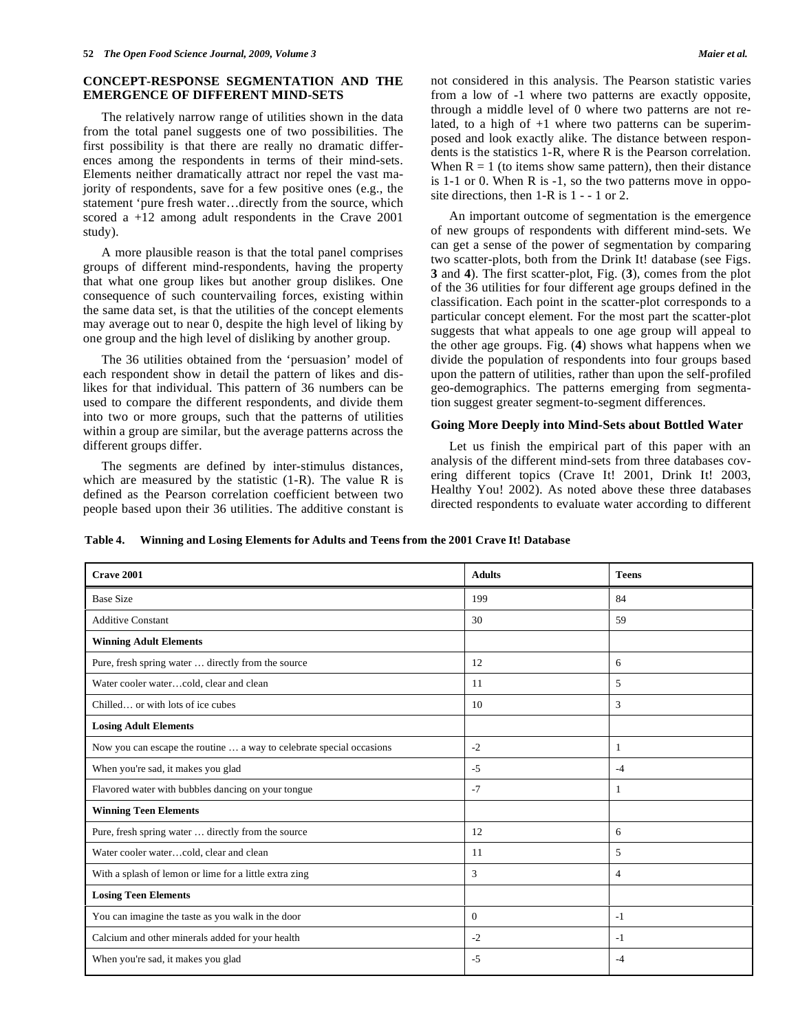# **CONCEPT-RESPONSE SEGMENTATION AND THE EMERGENCE OF DIFFERENT MIND-SETS**

The relatively narrow range of utilities shown in the data from the total panel suggests one of two possibilities. The first possibility is that there are really no dramatic differences among the respondents in terms of their mind-sets. Elements neither dramatically attract nor repel the vast majority of respondents, save for a few positive ones (e.g., the statement 'pure fresh water…directly from the source, which scored a +12 among adult respondents in the Crave 2001 study).

A more plausible reason is that the total panel comprises groups of different mind-respondents, having the property that what one group likes but another group dislikes. One consequence of such countervailing forces, existing within the same data set, is that the utilities of the concept elements may average out to near 0, despite the high level of liking by one group and the high level of disliking by another group.

The 36 utilities obtained from the 'persuasion' model of each respondent show in detail the pattern of likes and dislikes for that individual. This pattern of 36 numbers can be used to compare the different respondents, and divide them into two or more groups, such that the patterns of utilities within a group are similar, but the average patterns across the different groups differ.

The segments are defined by inter-stimulus distances, which are measured by the statistic  $(1-R)$ . The value R is defined as the Pearson correlation coefficient between two people based upon their 36 utilities. The additive constant is dents is the statistics 1-R, where R is the Pearson correlation. When  $R = 1$  (to items show same pattern), then their distance is 1-1 or 0. When R is -1, so the two patterns move in opposite directions, then 1-R is 1 - - 1 or 2.

An important outcome of segmentation is the emergence of new groups of respondents with different mind-sets. We can get a sense of the power of segmentation by comparing two scatter-plots, both from the Drink It! database (see Figs. **3** and **4**). The first scatter-plot, Fig. (**3**), comes from the plot of the 36 utilities for four different age groups defined in the classification. Each point in the scatter-plot corresponds to a particular concept element. For the most part the scatter-plot suggests that what appeals to one age group will appeal to the other age groups. Fig. (**4**) shows what happens when we divide the population of respondents into four groups based upon the pattern of utilities, rather than upon the self-profiled geo-demographics. The patterns emerging from segmentation suggest greater segment-to-segment differences.

#### **Going More Deeply into Mind-Sets about Bottled Water**

Let us finish the empirical part of this paper with an analysis of the different mind-sets from three databases covering different topics (Crave It! 2001, Drink It! 2003, Healthy You! 2002). As noted above these three databases directed respondents to evaluate water according to different

**Table 4. Winning and Losing Elements for Adults and Teens from the 2001 Crave It! Database** 

| <b>Crave 2001</b>                                                    | <b>Adults</b> | <b>Teens</b>   |  |
|----------------------------------------------------------------------|---------------|----------------|--|
| <b>Base Size</b>                                                     | 199           | 84             |  |
| <b>Additive Constant</b>                                             | 30            | 59             |  |
| <b>Winning Adult Elements</b>                                        |               |                |  |
| Pure, fresh spring water  directly from the source                   | 12            | 6              |  |
| Water cooler watercold, clear and clean                              | 11            | 5              |  |
| Chilled or with lots of ice cubes                                    | 10            | 3              |  |
| <b>Losing Adult Elements</b>                                         |               |                |  |
| Now you can escape the routine  a way to celebrate special occasions | $-2$          | 1              |  |
| When you're sad, it makes you glad                                   | $-5$          | $-4$           |  |
| Flavored water with bubbles dancing on your tongue                   | $-7$          | -1             |  |
| <b>Winning Teen Elements</b>                                         |               |                |  |
| Pure, fresh spring water  directly from the source                   | 12            | 6              |  |
| Water cooler watercold, clear and clean                              | 11            | 5              |  |
| With a splash of lemon or lime for a little extra zing               | 3             | $\overline{4}$ |  |
| <b>Losing Teen Elements</b>                                          |               |                |  |
| You can imagine the taste as you walk in the door                    | $\Omega$      | $-1$           |  |
| Calcium and other minerals added for your health                     | $-2$          | $-1$           |  |
| When you're sad, it makes you glad                                   | $-5$          | $-4$           |  |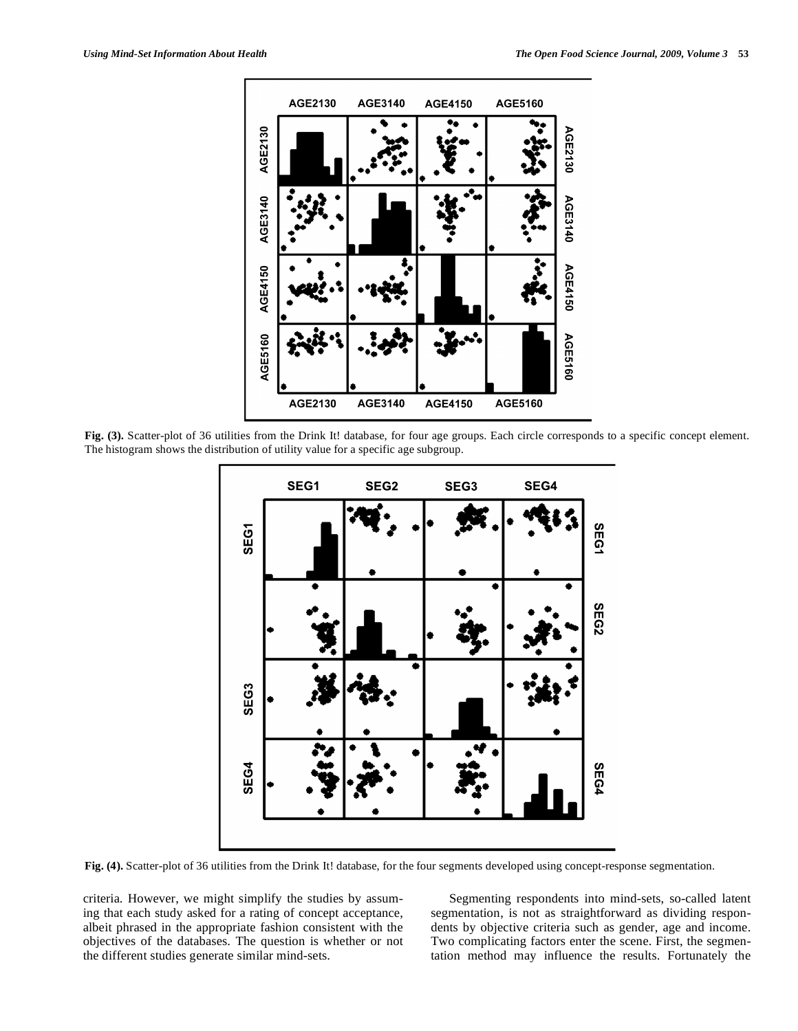

Fig. (3). Scatter-plot of 36 utilities from the Drink It! database, for four age groups. Each circle corresponds to a specific concept element. The histogram shows the distribution of utility value for a specific age subgroup.



Fig. (4). Scatter-plot of 36 utilities from the Drink It! database, for the four segments developed using concept-response segmentation.

criteria. However, we might simplify the studies by assuming that each study asked for a rating of concept acceptance, albeit phrased in the appropriate fashion consistent with the objectives of the databases. The question is whether or not the different studies generate similar mind-sets.

Segmenting respondents into mind-sets, so-called latent segmentation, is not as straightforward as dividing respondents by objective criteria such as gender, age and income. Two complicating factors enter the scene. First, the segmentation method may influence the results. Fortunately the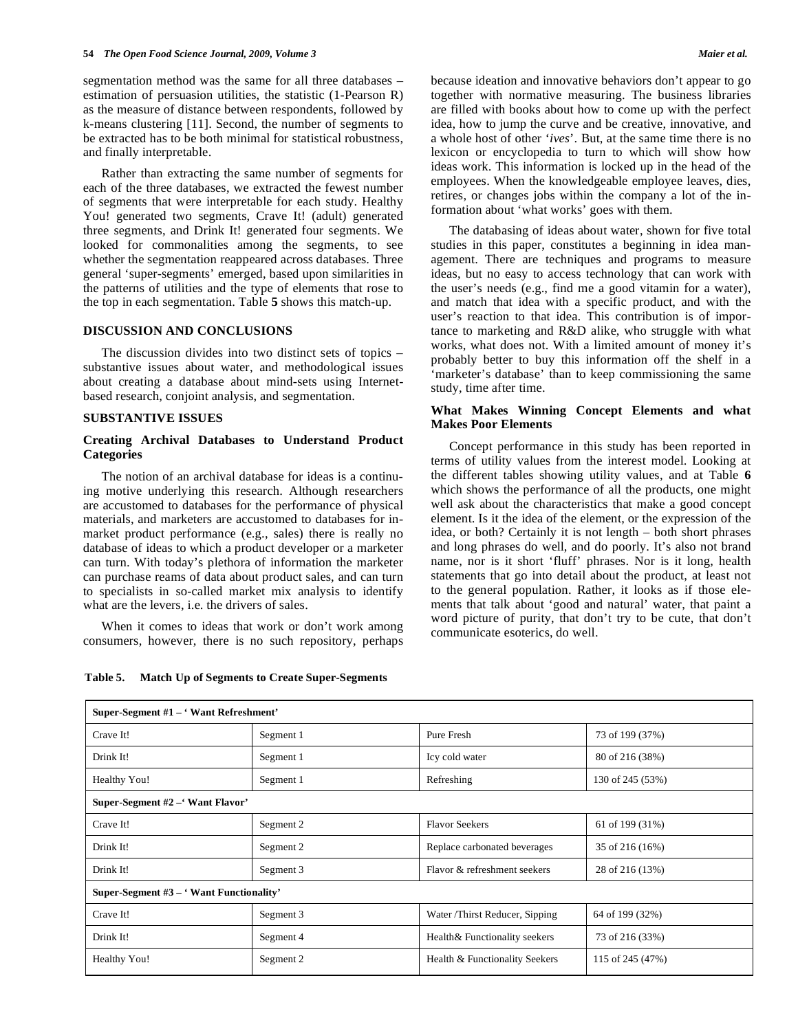segmentation method was the same for all three databases – estimation of persuasion utilities, the statistic (1-Pearson R) as the measure of distance between respondents, followed by k-means clustering [11]. Second, the number of segments to be extracted has to be both minimal for statistical robustness, and finally interpretable.

Rather than extracting the same number of segments for each of the three databases, we extracted the fewest number of segments that were interpretable for each study. Healthy You! generated two segments, Crave It! (adult) generated three segments, and Drink It! generated four segments. We looked for commonalities among the segments, to see whether the segmentation reappeared across databases. Three general 'super-segments' emerged, based upon similarities in the patterns of utilities and the type of elements that rose to the top in each segmentation. Table **5** shows this match-up.

# **DISCUSSION AND CONCLUSIONS**

The discussion divides into two distinct sets of topics – substantive issues about water, and methodological issues about creating a database about mind-sets using Internetbased research, conjoint analysis, and segmentation.

#### **SUBSTANTIVE ISSUES**

# **Creating Archival Databases to Understand Product Categories**

The notion of an archival database for ideas is a continuing motive underlying this research. Although researchers are accustomed to databases for the performance of physical materials, and marketers are accustomed to databases for inmarket product performance (e.g., sales) there is really no database of ideas to which a product developer or a marketer can turn. With today's plethora of information the marketer can purchase reams of data about product sales, and can turn to specialists in so-called market mix analysis to identify what are the levers, i.e. the drivers of sales.

When it comes to ideas that work or don't work among consumers, however, there is no such repository, perhaps

because ideation and innovative behaviors don't appear to go together with normative measuring. The business libraries are filled with books about how to come up with the perfect idea, how to jump the curve and be creative, innovative, and a whole host of other '*ives*'. But, at the same time there is no lexicon or encyclopedia to turn to which will show how ideas work. This information is locked up in the head of the employees. When the knowledgeable employee leaves, dies, retires, or changes jobs within the company a lot of the information about 'what works' goes with them.

The databasing of ideas about water, shown for five total studies in this paper, constitutes a beginning in idea management. There are techniques and programs to measure ideas, but no easy to access technology that can work with the user's needs (e.g., find me a good vitamin for a water), and match that idea with a specific product, and with the user's reaction to that idea. This contribution is of importance to marketing and R&D alike, who struggle with what works, what does not. With a limited amount of money it's probably better to buy this information off the shelf in a 'marketer's database' than to keep commissioning the same study, time after time.

# **What Makes Winning Concept Elements and what Makes Poor Elements**

Concept performance in this study has been reported in terms of utility values from the interest model. Looking at the different tables showing utility values, and at Table **6** which shows the performance of all the products, one might well ask about the characteristics that make a good concept element. Is it the idea of the element, or the expression of the idea, or both? Certainly it is not length – both short phrases and long phrases do well, and do poorly. It's also not brand name, nor is it short 'fluff' phrases. Nor is it long, health statements that go into detail about the product, at least not to the general population. Rather, it looks as if those elements that talk about 'good and natural' water, that paint a word picture of purity, that don't try to be cute, that don't communicate esoterics, do well.

| Super-Segment #1 – 'Want Refreshment'   |           |                                |                  |  |  |
|-----------------------------------------|-----------|--------------------------------|------------------|--|--|
| Crave It!                               | Segment 1 | Pure Fresh                     | 73 of 199 (37%)  |  |  |
| Drink It!                               | Segment 1 | Icy cold water                 | 80 of 216 (38%)  |  |  |
| Healthy You!                            | Segment 1 | Refreshing                     | 130 of 245 (53%) |  |  |
| Super-Segment #2 – Want Flavor'         |           |                                |                  |  |  |
| Crave It!                               | Segment 2 | <b>Flavor Seekers</b>          | 61 of 199 (31%)  |  |  |
| Drink It!                               | Segment 2 | Replace carbonated beverages   | 35 of 216 (16%)  |  |  |
| Drink It!                               | Segment 3 | Flavor & refreshment seekers   | 28 of 216 (13%)  |  |  |
| Super-Segment #3 – 'Want Functionality' |           |                                |                  |  |  |
| Crave It!                               | Segment 3 | Water /Thirst Reducer, Sipping | 64 of 199 (32%)  |  |  |
| Drink It!                               | Segment 4 | Health& Functionality seekers  | 73 of 216 (33%)  |  |  |
| Healthy You!                            | Segment 2 | Health & Functionality Seekers | 115 of 245 (47%) |  |  |

## **Table 5. Match Up of Segments to Create Super-Segments**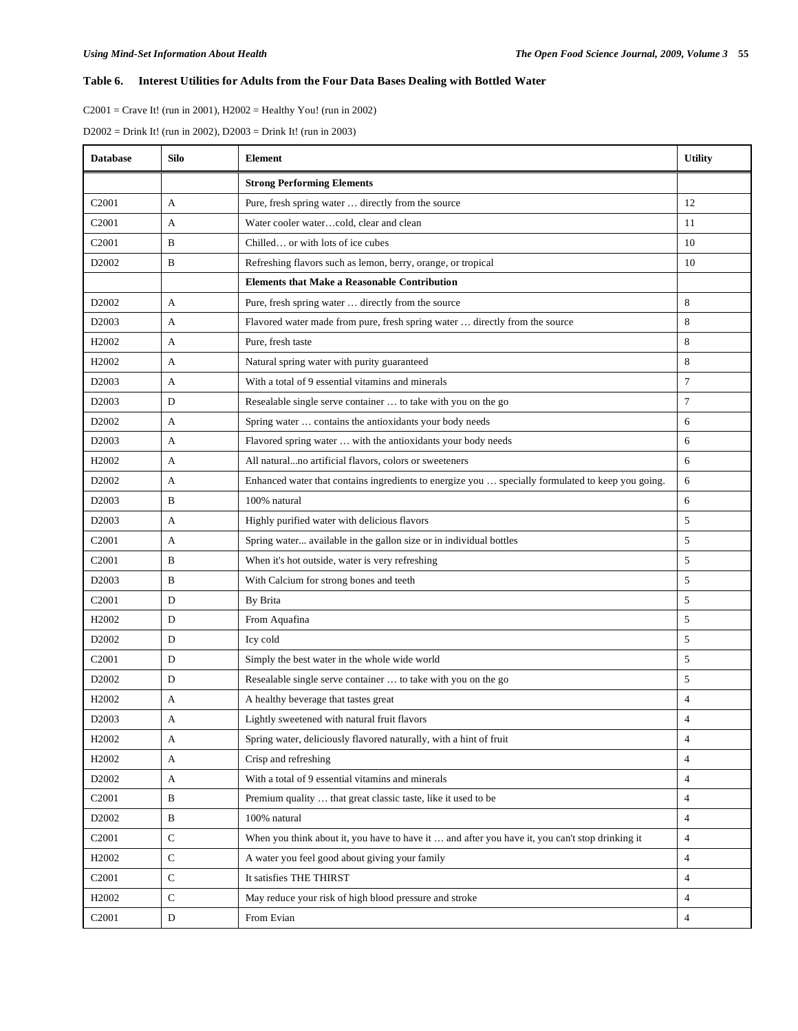# **Table 6. Interest Utilities for Adults from the Four Data Bases Dealing with Bottled Water**

C2001 = Crave It! (run in 2001), H2002 = Healthy You! (run in 2002)

D2002 = Drink It! (run in 2002), D2003 = Drink It! (run in 2003)

| <b>Database</b>   | Silo         | <b>Element</b>                                                                                    | <b>Utility</b> |
|-------------------|--------------|---------------------------------------------------------------------------------------------------|----------------|
|                   |              | <b>Strong Performing Elements</b>                                                                 |                |
| C <sub>2001</sub> | A            | Pure, fresh spring water  directly from the source                                                | 12             |
| C <sub>2001</sub> | A            | Water cooler watercold, clear and clean                                                           | 11             |
| C <sub>2001</sub> | B            | Chilled or with lots of ice cubes                                                                 | 10             |
| D <sub>2002</sub> | B            | Refreshing flavors such as lemon, berry, orange, or tropical                                      | 10             |
|                   |              | <b>Elements that Make a Reasonable Contribution</b>                                               |                |
| D2002             | A            | Pure, fresh spring water  directly from the source                                                | 8              |
| D <sub>2003</sub> | A            | Flavored water made from pure, fresh spring water  directly from the source                       | 8              |
| H <sub>2002</sub> | A            | Pure, fresh taste                                                                                 | 8              |
| H <sub>2002</sub> | A            | Natural spring water with purity guaranteed                                                       | 8              |
| D2003             | A            | With a total of 9 essential vitamins and minerals                                                 | $\overline{7}$ |
| D2003             | D            | Resealable single serve container  to take with you on the go                                     | $\overline{7}$ |
| D <sub>2002</sub> | А            | Spring water  contains the antioxidants your body needs                                           | 6              |
| D2003             | A            | Flavored spring water  with the antioxidants your body needs                                      | 6              |
| H <sub>2002</sub> | A            | All naturalno artificial flavors, colors or sweeteners                                            | 6              |
| D2002             | A            | Enhanced water that contains ingredients to energize you  specially formulated to keep you going. | 6              |
| D <sub>2003</sub> | B            | 100% natural                                                                                      | 6              |
| D2003             | A            | Highly purified water with delicious flavors                                                      | 5              |
| C <sub>2001</sub> | A            | Spring water available in the gallon size or in individual bottles                                | 5              |
| C <sub>2001</sub> | B            | When it's hot outside, water is very refreshing                                                   | 5              |
| D <sub>2003</sub> | B            | With Calcium for strong bones and teeth                                                           | 5              |
| C <sub>2001</sub> | D            | By Brita                                                                                          | 5              |
| H <sub>2002</sub> | D            | From Aquafina                                                                                     | 5              |
| D2002             | D            | Icy cold                                                                                          | 5              |
| C <sub>2001</sub> | D            | Simply the best water in the whole wide world                                                     | 5              |
| D <sub>2002</sub> | D            | Resealable single serve container  to take with you on the go                                     | 5              |
| H <sub>2002</sub> | A            | A healthy beverage that tastes great                                                              | $\overline{4}$ |
| D <sub>2003</sub> | A            | Lightly sweetened with natural fruit flavors                                                      | $\overline{4}$ |
| H2002             | A            | Spring water, deliciously flavored naturally, with a hint of fruit                                | 4              |
| H <sub>2002</sub> | A            | Crisp and refreshing                                                                              | $\overline{4}$ |
| D <sub>2002</sub> | A            | With a total of 9 essential vitamins and minerals                                                 | $\overline{4}$ |
| C <sub>2001</sub> | B            | Premium quality  that great classic taste, like it used to be                                     | $\overline{4}$ |
| D <sub>2002</sub> | B            | 100% natural                                                                                      | $\overline{4}$ |
| C <sub>2001</sub> | $\mathsf{C}$ | When you think about it, you have to have it  and after you have it, you can't stop drinking it   | $\overline{4}$ |
| H <sub>2002</sub> | $\mathbf C$  | A water you feel good about giving your family                                                    | $\overline{4}$ |
| C <sub>2001</sub> | $\mathbf C$  | It satisfies THE THIRST                                                                           | $\overline{4}$ |
| H2002             | $\mathsf C$  | May reduce your risk of high blood pressure and stroke                                            | $\overline{4}$ |
| C <sub>2001</sub> | D            | From Evian                                                                                        | $\overline{4}$ |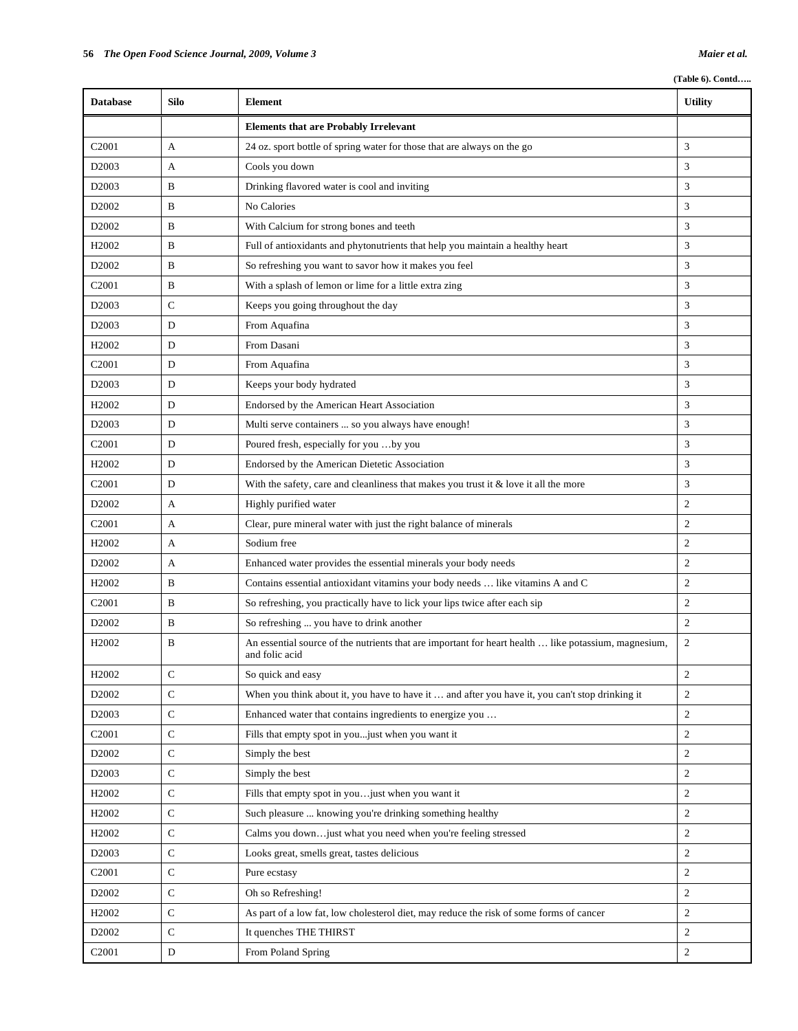**(Table 6). Contd…..** 

| <b>Database</b>   | Silo         | Element                                                                                                                | <b>Utility</b> |
|-------------------|--------------|------------------------------------------------------------------------------------------------------------------------|----------------|
|                   |              | <b>Elements that are Probably Irrelevant</b>                                                                           |                |
| C <sub>2001</sub> | A            | 24 oz. sport bottle of spring water for those that are always on the go                                                | 3              |
| D <sub>2003</sub> | A            | Cools you down                                                                                                         | 3              |
| D <sub>2003</sub> | B            | Drinking flavored water is cool and inviting                                                                           | 3              |
| D <sub>2002</sub> | B            | No Calories                                                                                                            | 3              |
| D <sub>2002</sub> | B            | With Calcium for strong bones and teeth                                                                                | 3              |
| H <sub>2002</sub> | B            | Full of antioxidants and phytonutrients that help you maintain a healthy heart                                         | 3              |
| D <sub>2002</sub> | B            | So refreshing you want to savor how it makes you feel                                                                  | 3              |
| C <sub>2001</sub> | B            | With a splash of lemon or lime for a little extra zing                                                                 | 3              |
| D <sub>2003</sub> | $\mathbf C$  | Keeps you going throughout the day                                                                                     | 3              |
| D <sub>2003</sub> | D            | From Aquafina                                                                                                          | 3              |
| H <sub>2002</sub> | D            | From Dasani                                                                                                            | 3              |
| C <sub>2001</sub> | D            | From Aquafina                                                                                                          | 3              |
| D2003             | D            | Keeps your body hydrated                                                                                               | 3              |
| H <sub>2002</sub> | D            | Endorsed by the American Heart Association                                                                             | 3              |
| D <sub>2003</sub> | D            | Multi serve containers  so you always have enough!                                                                     | 3              |
| C <sub>2001</sub> | D            | Poured fresh, especially for you by you                                                                                | 3              |
| H <sub>2002</sub> | D            | Endorsed by the American Dietetic Association                                                                          | 3              |
| C <sub>2001</sub> | D            | With the safety, care and cleanliness that makes you trust it $&$ love it all the more                                 | 3              |
| D <sub>2002</sub> | A            | Highly purified water                                                                                                  | $\overline{2}$ |
| C <sub>2001</sub> | A            | Clear, pure mineral water with just the right balance of minerals                                                      | $\overline{2}$ |
| H <sub>2002</sub> | А            | Sodium free                                                                                                            | $\overline{2}$ |
| D <sub>2002</sub> | A            | Enhanced water provides the essential minerals your body needs                                                         | $\overline{2}$ |
| H <sub>2002</sub> | B            | Contains essential antioxidant vitamins your body needs  like vitamins A and C                                         | 2              |
| C <sub>2001</sub> | B            | So refreshing, you practically have to lick your lips twice after each sip                                             | $\overline{2}$ |
| D2002             | B            | So refreshing  you have to drink another                                                                               | 2              |
| H2002             | B            | An essential source of the nutrients that are important for heart health  like potassium, magnesium,<br>and folic acid | $\overline{2}$ |
| H <sub>2002</sub> | С            | So quick and easy                                                                                                      | 2              |
| D <sub>2002</sub> | $\mathbf C$  | When you think about it, you have to have it  and after you have it, you can't stop drinking it                        | 2              |
| D <sub>2003</sub> | $\mathbf C$  | Enhanced water that contains ingredients to energize you                                                               | 2              |
| C <sub>2001</sub> | ${\bf C}$    | Fills that empty spot in you just when you want it                                                                     | 2              |
| D <sub>2002</sub> | $\mathbf C$  | Simply the best                                                                                                        | 2              |
| D <sub>2003</sub> | $\mathbf C$  | Simply the best                                                                                                        | 2              |
| H <sub>2002</sub> | $\mathsf{C}$ | Fills that empty spot in you just when you want it                                                                     | $\overline{2}$ |
| H <sub>2002</sub> | $\mathbf C$  | Such pleasure  knowing you're drinking something healthy                                                               | 2              |
| H2002             | $\mathbf C$  | Calms you downjust what you need when you're feeling stressed                                                          | 2              |
| D <sub>2003</sub> | ${\bf C}$    | Looks great, smells great, tastes delicious                                                                            | 2              |
| C <sub>2001</sub> | $\mathsf{C}$ | Pure ecstasy                                                                                                           | 2              |
| D <sub>2002</sub> | C            | Oh so Refreshing!                                                                                                      | 2              |
| H <sub>2002</sub> | ${\bf C}$    | As part of a low fat, low cholesterol diet, may reduce the risk of some forms of cancer                                | 2              |
| D <sub>2002</sub> | $\mathbf C$  | It quenches THE THIRST                                                                                                 | 2              |
| C <sub>2001</sub> | ${\rm D}$    | From Poland Spring                                                                                                     | $\overline{2}$ |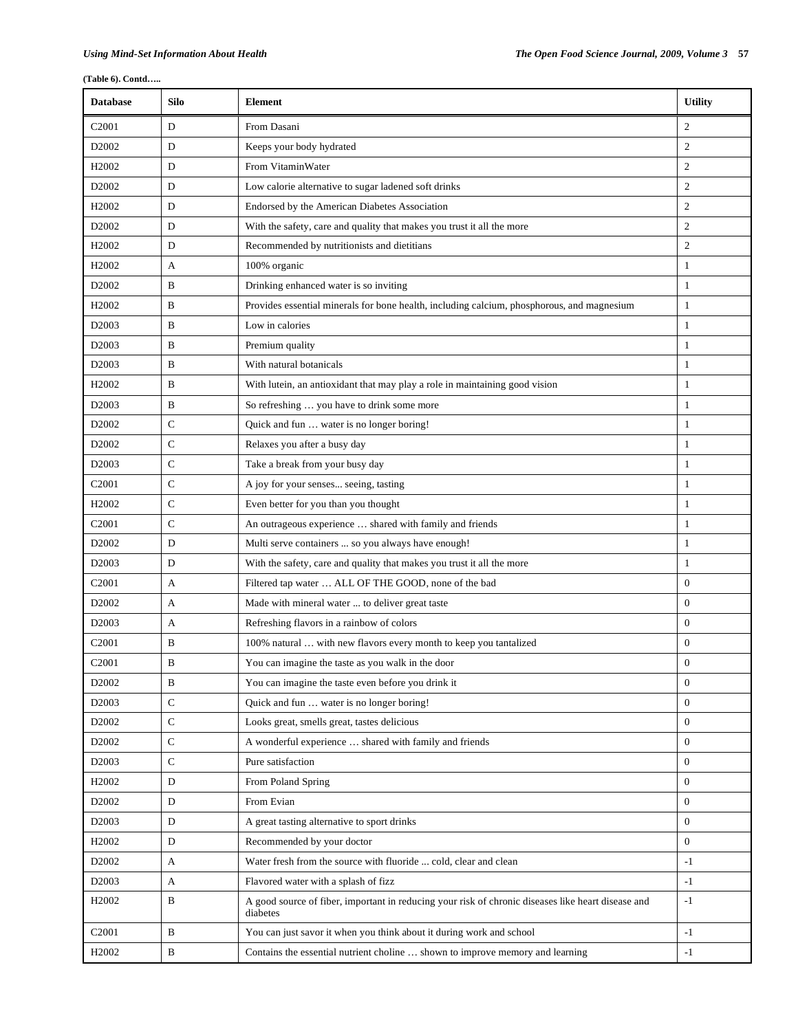**(Table 6). Contd…..** 

| <b>Database</b>   | Silo         | <b>Element</b>                                                                                                 | <b>Utility</b>   |
|-------------------|--------------|----------------------------------------------------------------------------------------------------------------|------------------|
| C2001             | D            | From Dasani                                                                                                    | $\overline{2}$   |
| D2002             | D            | Keeps your body hydrated                                                                                       | $\overline{2}$   |
| H <sub>2002</sub> | D            | From VitaminWater                                                                                              | $\overline{2}$   |
| D <sub>2002</sub> | D            | Low calorie alternative to sugar ladened soft drinks                                                           | $\overline{2}$   |
| H <sub>2002</sub> | D            | Endorsed by the American Diabetes Association                                                                  | $\overline{2}$   |
| D2002             | D            | With the safety, care and quality that makes you trust it all the more                                         | $\overline{2}$   |
| H <sub>2002</sub> | D            | Recommended by nutritionists and dietitians                                                                    | $\overline{2}$   |
| H2002             | A            | 100% organic                                                                                                   | $\mathbf{1}$     |
| D2002             | B            | Drinking enhanced water is so inviting                                                                         | 1                |
| H2002             | B            | Provides essential minerals for bone health, including calcium, phosphorous, and magnesium                     | $\mathbf{1}$     |
| D <sub>2003</sub> | B            | Low in calories                                                                                                | $\mathbf{1}$     |
| D <sub>2003</sub> | B            | Premium quality                                                                                                | $\mathbf{1}$     |
| D <sub>2003</sub> | B            | With natural botanicals                                                                                        | 1                |
| H <sub>2002</sub> | B            | With lutein, an antioxidant that may play a role in maintaining good vision                                    | $\mathbf{1}$     |
| D <sub>2003</sub> | B            | So refreshing  you have to drink some more                                                                     | $\mathbf{1}$     |
| D2002             | $\mathbf C$  | Quick and fun  water is no longer boring!                                                                      | $\mathbf{1}$     |
| D <sub>2002</sub> | $\mathsf{C}$ | Relaxes you after a busy day                                                                                   | 1                |
| D <sub>2003</sub> | $\mathbf C$  | Take a break from your busy day                                                                                | $\mathbf{1}$     |
| C <sub>2001</sub> | $\mathbf C$  | A joy for your senses seeing, tasting                                                                          | $\mathbf{1}$     |
| H <sub>2002</sub> | $\mathsf{C}$ | Even better for you than you thought                                                                           | 1                |
| C2001             | $\mathsf{C}$ | An outrageous experience  shared with family and friends                                                       | $\mathbf{1}$     |
| D <sub>2002</sub> | D            | Multi serve containers  so you always have enough!                                                             | $\mathbf{1}$     |
| D <sub>2003</sub> | D            | With the safety, care and quality that makes you trust it all the more                                         | 1                |
| C <sub>2001</sub> | A            | Filtered tap water  ALL OF THE GOOD, none of the bad                                                           | $\mathbf{0}$     |
| D <sub>2002</sub> | A            | Made with mineral water  to deliver great taste                                                                | $\mathbf{0}$     |
| D <sub>2003</sub> | A            | Refreshing flavors in a rainbow of colors                                                                      | $\mathbf{0}$     |
| C <sub>2001</sub> | B            | 100% natural  with new flavors every month to keep you tantalized                                              | $\Omega$         |
| C <sub>2001</sub> | B            | You can imagine the taste as you walk in the door                                                              | $\boldsymbol{0}$ |
| D2002             | $\, {\bf B}$ | You can imagine the taste even before you drink it                                                             | $\mathbf{0}$     |
| D <sub>2003</sub> | $\mathbf C$  | Quick and fun  water is no longer boring!                                                                      | $\mathbf{0}$     |
| D2002             | $\mathbf C$  | Looks great, smells great, tastes delicious                                                                    | $\mathbf{0}$     |
| D2002             | $\mathbf C$  | A wonderful experience  shared with family and friends                                                         | $\mathbf{0}$     |
| D2003             | $\mathbf C$  | Pure satisfaction                                                                                              | $\overline{0}$   |
| H2002             | D            | From Poland Spring                                                                                             | $\boldsymbol{0}$ |
| D <sub>2002</sub> | D            | From Evian                                                                                                     | $\mathbf{0}$     |
| D <sub>2003</sub> | D            | A great tasting alternative to sport drinks                                                                    | $\mathbf{0}$     |
| H <sub>2002</sub> | D            | Recommended by your doctor                                                                                     | $\mathbf{0}$     |
| D2002             | A            | Water fresh from the source with fluoride  cold, clear and clean                                               | $-1$             |
| D <sub>2003</sub> | A            | Flavored water with a splash of fizz                                                                           | $-1$             |
| H <sub>2002</sub> | B            | A good source of fiber, important in reducing your risk of chronic diseases like heart disease and<br>diabetes | $-1$             |
| C <sub>2001</sub> | $\, {\bf B}$ | You can just savor it when you think about it during work and school                                           | $-1$             |
| H <sub>2002</sub> | B            | Contains the essential nutrient choline  shown to improve memory and learning                                  | $-1$             |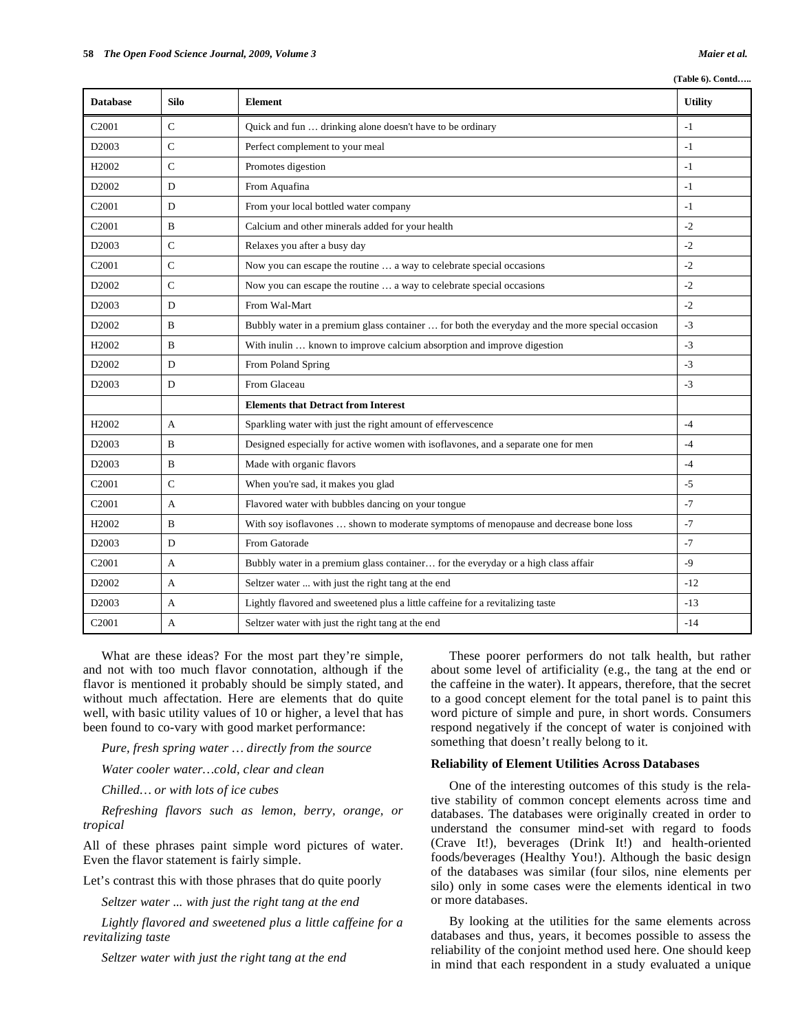**(Table 6). Contd…..** 

| <b>Database</b>   | Silo           | Element                                                                                        | <b>Utility</b> |
|-------------------|----------------|------------------------------------------------------------------------------------------------|----------------|
| C <sub>2001</sub> | $\mathsf{C}$   | Quick and fun  drinking alone doesn't have to be ordinary                                      | $-1$           |
| D <sub>2003</sub> | $\mathsf{C}$   | Perfect complement to your meal                                                                | $-1$           |
| H <sub>2002</sub> | $\overline{C}$ | Promotes digestion                                                                             | $-1$           |
| D2002             | D              | From Aquafina                                                                                  | $-1$           |
| C <sub>2001</sub> | D              | From your local bottled water company                                                          | $-1$           |
| C <sub>2001</sub> | B              | Calcium and other minerals added for your health                                               | $-2$           |
| D2003             | $\mathbf C$    | Relaxes you after a busy day                                                                   | $-2$           |
| C <sub>2001</sub> | $\mathbf C$    | Now you can escape the routine  a way to celebrate special occasions                           | $-2$           |
| D <sub>2002</sub> | $\mathcal{C}$  | Now you can escape the routine  a way to celebrate special occasions                           | $-2$           |
| D2003             | D              | From Wal-Mart                                                                                  | $-2$           |
| D2002             | B              | Bubbly water in a premium glass container  for both the everyday and the more special occasion | $-3$           |
| H <sub>2002</sub> | B              | With inulin  known to improve calcium absorption and improve digestion                         | $-3$           |
| D2002             | D              | From Poland Spring                                                                             | $-3$           |
| D <sub>2003</sub> | D              | From Glaceau                                                                                   | $-3$           |
|                   |                | <b>Elements that Detract from Interest</b>                                                     |                |
| H2002             | A              | Sparkling water with just the right amount of effervescence                                    | $-4$           |
| D <sub>2003</sub> | B              | Designed especially for active women with isoflavones, and a separate one for men              | $-4$           |
| D <sub>2003</sub> | B              | Made with organic flavors                                                                      | $-4$           |
| C <sub>2001</sub> | $\mathcal{C}$  | When you're sad, it makes you glad                                                             | $-5$           |
| C2001             | A              | Flavored water with bubbles dancing on your tongue                                             | $-7$           |
| H <sub>2002</sub> | B              | With soy isoflavones  shown to moderate symptoms of menopause and decrease bone loss           | $-7$           |
| D <sub>2003</sub> | D              | From Gatorade                                                                                  | $-7$           |
| C2001             | А              | Bubbly water in a premium glass container for the everyday or a high class affair              | $-9$           |
| D2002             | A              | Seltzer water  with just the right tang at the end                                             | $-12$          |
| D2003             | A              | Lightly flavored and sweetened plus a little caffeine for a revitalizing taste                 | $-13$          |
| C <sub>2001</sub> | A              | Seltzer water with just the right tang at the end                                              | $-14$          |

What are these ideas? For the most part they're simple, and not with too much flavor connotation, although if the flavor is mentioned it probably should be simply stated, and without much affectation. Here are elements that do quite well, with basic utility values of 10 or higher, a level that has been found to co-vary with good market performance:

*Pure, fresh spring water … directly from the source* 

*Water cooler water…cold, clear and clean* 

*Chilled… or with lots of ice cubes* 

*Refreshing flavors such as lemon, berry, orange, or tropical* 

All of these phrases paint simple word pictures of water. Even the flavor statement is fairly simple.

Let's contrast this with those phrases that do quite poorly

*Seltzer water ... with just the right tang at the end* 

*Lightly flavored and sweetened plus a little caffeine for a revitalizing taste* 

*Seltzer water with just the right tang at the end* 

These poorer performers do not talk health, but rather about some level of artificiality (e.g., the tang at the end or the caffeine in the water). It appears, therefore, that the secret to a good concept element for the total panel is to paint this word picture of simple and pure, in short words. Consumers respond negatively if the concept of water is conjoined with something that doesn't really belong to it.

# **Reliability of Element Utilities Across Databases**

One of the interesting outcomes of this study is the relative stability of common concept elements across time and databases. The databases were originally created in order to understand the consumer mind-set with regard to foods (Crave It!), beverages (Drink It!) and health-oriented foods/beverages (Healthy You!). Although the basic design of the databases was similar (four silos, nine elements per silo) only in some cases were the elements identical in two or more databases.

By looking at the utilities for the same elements across databases and thus, years, it becomes possible to assess the reliability of the conjoint method used here. One should keep in mind that each respondent in a study evaluated a unique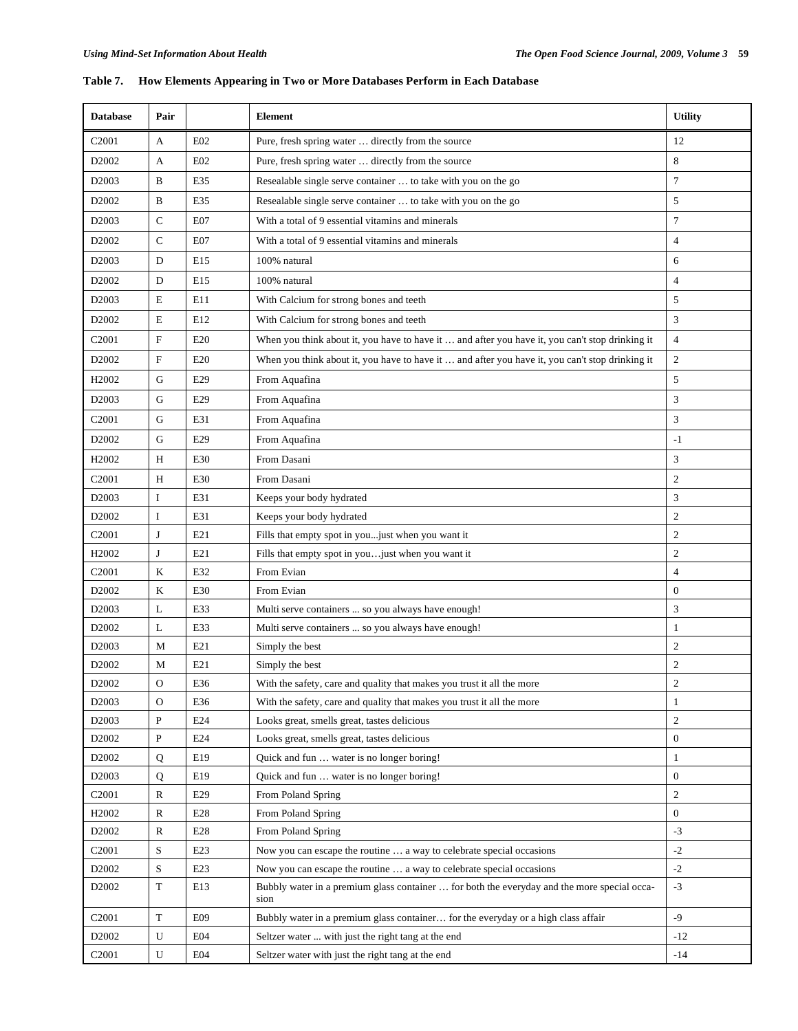# **Table 7. How Elements Appearing in Two or More Databases Perform in Each Database**

| <b>Database</b>            | Pair         |            | <b>Element</b>                                                                                  | <b>Utility</b>                   |
|----------------------------|--------------|------------|-------------------------------------------------------------------------------------------------|----------------------------------|
| C <sub>2001</sub>          | A            | E02        | Pure, fresh spring water  directly from the source                                              | 12                               |
| D <sub>2002</sub>          | A            | E02        | Pure, fresh spring water  directly from the source                                              | 8                                |
| D <sub>2003</sub>          | B            | E35        | Resealable single serve container  to take with you on the go                                   | $\overline{7}$                   |
| D <sub>2002</sub>          | B            | E35        | Resealable single serve container  to take with you on the go                                   | 5                                |
| D2003                      | $\mathsf{C}$ | E07        | With a total of 9 essential vitamins and minerals                                               | $\tau$                           |
| D <sub>2002</sub>          | $\mathsf{C}$ | E07        | With a total of 9 essential vitamins and minerals                                               | 4                                |
| D2003                      | D            | E15        | 100% natural                                                                                    | 6                                |
| D <sub>2002</sub>          | D            | E15        | 100% natural                                                                                    | $\overline{4}$                   |
| D <sub>2003</sub>          | Ε            | E11        | With Calcium for strong bones and teeth                                                         | 5                                |
| D <sub>2002</sub>          | Ε            | E12        | With Calcium for strong bones and teeth                                                         | 3                                |
| C <sub>2001</sub>          | $_{\rm F}$   | E20        | When you think about it, you have to have it  and after you have it, you can't stop drinking it | $\overline{4}$                   |
| D <sub>2002</sub>          | $\mathbf F$  | E20        | When you think about it, you have to have it  and after you have it, you can't stop drinking it | $\sqrt{2}$                       |
| H2002                      | G            | E29        | From Aquafina                                                                                   | 5                                |
| D <sub>2003</sub>          | G            | E29        | From Aquafina                                                                                   | 3                                |
| C <sub>2001</sub>          | G            | E31        |                                                                                                 | 3                                |
|                            |              |            | From Aquafina                                                                                   |                                  |
| D <sub>2002</sub>          | G            | E29        | From Aquafina                                                                                   | $-1$                             |
| H <sub>2002</sub>          | H            | E30        | From Dasani                                                                                     | 3                                |
| C2001                      | H            | E30        | From Dasani                                                                                     | $\sqrt{2}$                       |
| D2003                      | $\bf{I}$     | E31        | Keeps your body hydrated                                                                        | 3                                |
| D2002                      | $\bf{I}$     | E31        | Keeps your body hydrated                                                                        | $\sqrt{2}$                       |
| C <sub>2001</sub>          | J            | E21        | Fills that empty spot in youjust when you want it                                               | $\overline{2}$                   |
| H2002                      | J            | E21        | Fills that empty spot in youjust when you want it                                               | $\overline{2}$<br>$\overline{4}$ |
| C <sub>2001</sub><br>D2002 | K<br>K       | E32<br>E30 | From Evian<br>From Evian                                                                        | $\mathbf{0}$                     |
| D <sub>2003</sub>          | L            | E33        | Multi serve containers  so you always have enough!                                              | $\mathfrak{Z}$                   |
| D2002                      | L            | E33        | Multi serve containers  so you always have enough!                                              | $\mathbf{1}$                     |
| D <sub>2003</sub>          | M            | E21        | Simply the best                                                                                 | $\overline{2}$                   |
| D2002                      | M            | E21        | Simply the best                                                                                 | $\sqrt{2}$                       |
| D2002                      | $\mathbf O$  | E36        | With the safety, care and quality that makes you trust it all the more                          | $\overline{2}$                   |
| D2003                      | $\mathbf{O}$ | E36        | With the safety, care and quality that makes you trust it all the more                          | -1                               |
| D2003                      | $\mathbf{P}$ | E24        | Looks great, smells great, tastes delicious                                                     | $\sqrt{2}$                       |
| D2002                      | P            | E24        | Looks great, smells great, tastes delicious                                                     | $\boldsymbol{0}$                 |
| D <sub>2002</sub>          | Q            | E19        | Quick and fun  water is no longer boring!                                                       | $\mathbf{1}$                     |
| D <sub>2003</sub>          | Q            | E19        | Quick and fun  water is no longer boring!                                                       | $\mathbf{0}$                     |
| C <sub>2001</sub>          | R            | E29        | From Poland Spring                                                                              | $\overline{2}$                   |
| H <sub>2002</sub>          | R            | E28        | From Poland Spring                                                                              | $\mathbf{0}$                     |
| D2002                      | R            | E28        | From Poland Spring                                                                              | $-3$                             |
| C <sub>2001</sub>          | S            | E23        | Now you can escape the routine  a way to celebrate special occasions                            | $-2$                             |
| D <sub>2002</sub>          | S            | E23        | Now you can escape the routine  a way to celebrate special occasions                            | $-2$                             |
| D <sub>2002</sub>          | $\mathbf T$  | E13        | Bubbly water in a premium glass container  for both the everyday and the more special occa-     | $-3$                             |
| C <sub>2001</sub>          | $\mathbf T$  | E09        | sion<br>Bubbly water in a premium glass container for the everyday or a high class affair       | $-9$                             |
| D2002                      | U            | E04        | Seltzer water  with just the right tang at the end                                              | $-12$                            |
| C <sub>2001</sub>          | U            | E04        | Seltzer water with just the right tang at the end                                               | $-14$                            |
|                            |              |            |                                                                                                 |                                  |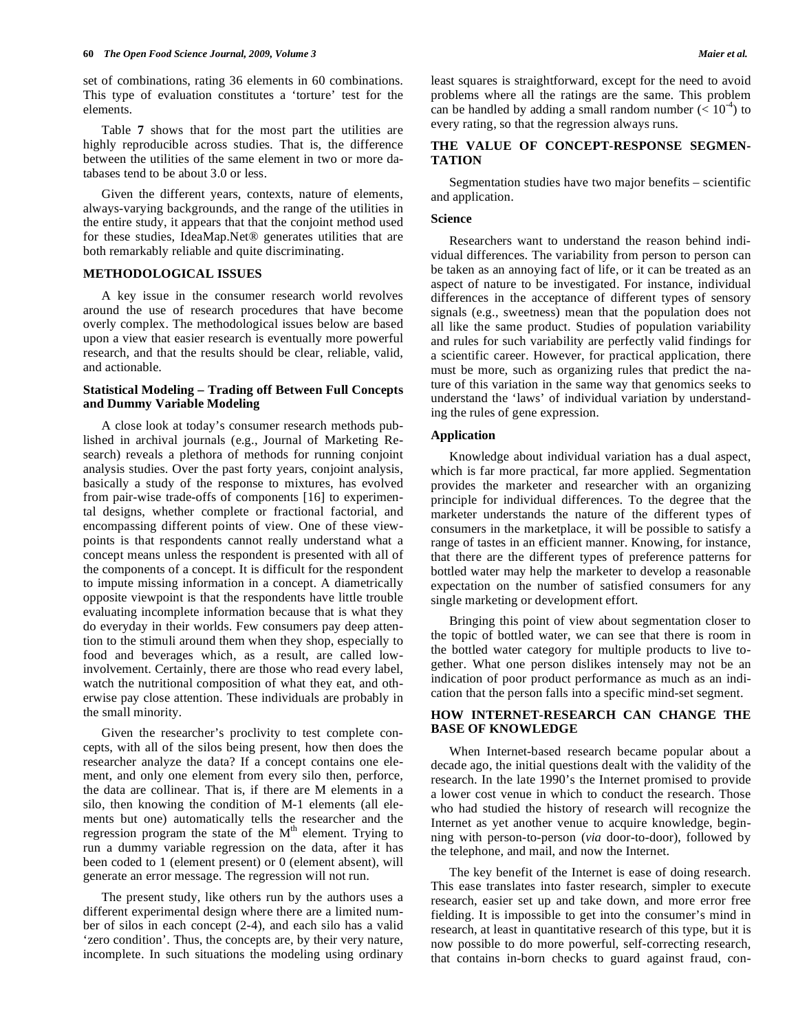set of combinations, rating 36 elements in 60 combinations. This type of evaluation constitutes a 'torture' test for the elements.

Table **7** shows that for the most part the utilities are highly reproducible across studies. That is, the difference between the utilities of the same element in two or more databases tend to be about 3.0 or less.

Given the different years, contexts, nature of elements, always-varying backgrounds, and the range of the utilities in the entire study, it appears that that the conjoint method used for these studies, IdeaMap.Net® generates utilities that are both remarkably reliable and quite discriminating.

#### **METHODOLOGICAL ISSUES**

A key issue in the consumer research world revolves around the use of research procedures that have become overly complex. The methodological issues below are based upon a view that easier research is eventually more powerful research, and that the results should be clear, reliable, valid, and actionable.

## **Statistical Modeling – Trading off Between Full Concepts and Dummy Variable Modeling**

A close look at today's consumer research methods published in archival journals (e.g., Journal of Marketing Research) reveals a plethora of methods for running conjoint analysis studies. Over the past forty years, conjoint analysis, basically a study of the response to mixtures, has evolved from pair-wise trade-offs of components [16] to experimental designs, whether complete or fractional factorial, and encompassing different points of view. One of these viewpoints is that respondents cannot really understand what a concept means unless the respondent is presented with all of the components of a concept. It is difficult for the respondent to impute missing information in a concept. A diametrically opposite viewpoint is that the respondents have little trouble evaluating incomplete information because that is what they do everyday in their worlds. Few consumers pay deep attention to the stimuli around them when they shop, especially to food and beverages which, as a result, are called lowinvolvement. Certainly, there are those who read every label, watch the nutritional composition of what they eat, and otherwise pay close attention. These individuals are probably in the small minority.

Given the researcher's proclivity to test complete concepts, with all of the silos being present, how then does the researcher analyze the data? If a concept contains one element, and only one element from every silo then, perforce, the data are collinear. That is, if there are M elements in a silo, then knowing the condition of M-1 elements (all elements but one) automatically tells the researcher and the regression program the state of the  $M<sup>th</sup>$  element. Trying to run a dummy variable regression on the data, after it has been coded to 1 (element present) or 0 (element absent), will generate an error message. The regression will not run.

The present study, like others run by the authors uses a different experimental design where there are a limited number of silos in each concept (2-4), and each silo has a valid 'zero condition'. Thus, the concepts are, by their very nature, incomplete. In such situations the modeling using ordinary least squares is straightforward, except for the need to avoid problems where all the ratings are the same. This problem can be handled by adding a small random number  $(< 10<sup>-4</sup>)$  to every rating, so that the regression always runs.

# **THE VALUE OF CONCEPT-RESPONSE SEGMEN-TATION**

Segmentation studies have two major benefits – scientific and application.

#### **Science**

Researchers want to understand the reason behind individual differences. The variability from person to person can be taken as an annoying fact of life, or it can be treated as an aspect of nature to be investigated. For instance, individual differences in the acceptance of different types of sensory signals (e.g., sweetness) mean that the population does not all like the same product. Studies of population variability and rules for such variability are perfectly valid findings for a scientific career. However, for practical application, there must be more, such as organizing rules that predict the nature of this variation in the same way that genomics seeks to understand the 'laws' of individual variation by understanding the rules of gene expression.

# **Application**

Knowledge about individual variation has a dual aspect, which is far more practical, far more applied. Segmentation provides the marketer and researcher with an organizing principle for individual differences. To the degree that the marketer understands the nature of the different types of consumers in the marketplace, it will be possible to satisfy a range of tastes in an efficient manner. Knowing, for instance, that there are the different types of preference patterns for bottled water may help the marketer to develop a reasonable expectation on the number of satisfied consumers for any single marketing or development effort.

Bringing this point of view about segmentation closer to the topic of bottled water, we can see that there is room in the bottled water category for multiple products to live together. What one person dislikes intensely may not be an indication of poor product performance as much as an indication that the person falls into a specific mind-set segment.

# **HOW INTERNET-RESEARCH CAN CHANGE THE BASE OF KNOWLEDGE**

When Internet-based research became popular about a decade ago, the initial questions dealt with the validity of the research. In the late 1990's the Internet promised to provide a lower cost venue in which to conduct the research. Those who had studied the history of research will recognize the Internet as yet another venue to acquire knowledge, beginning with person-to-person (*via* door-to-door), followed by the telephone, and mail, and now the Internet.

The key benefit of the Internet is ease of doing research. This ease translates into faster research, simpler to execute research, easier set up and take down, and more error free fielding. It is impossible to get into the consumer's mind in research, at least in quantitative research of this type, but it is now possible to do more powerful, self-correcting research, that contains in-born checks to guard against fraud, con